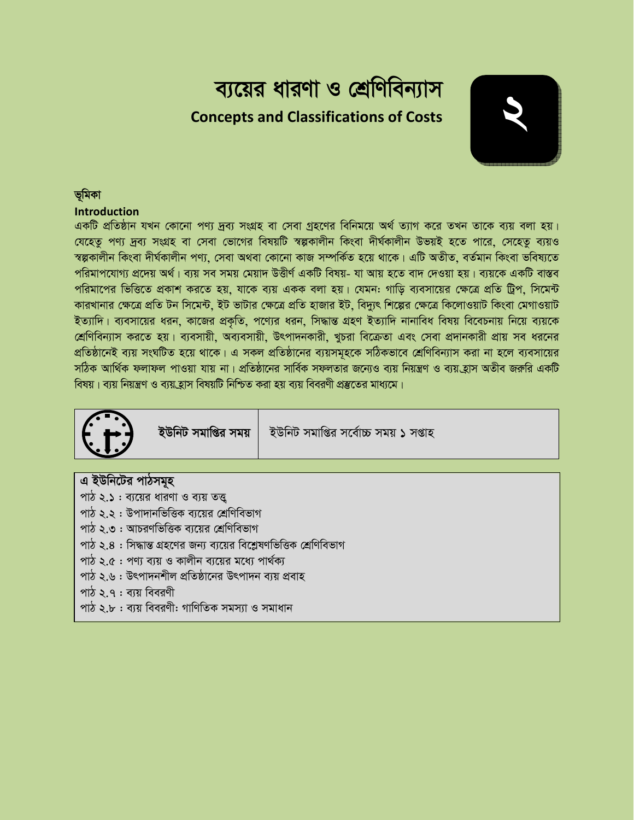# ব্যয়ের ধারণা ও শ্রেণিবিন্যাস **Concepts and Classifications of Costs**



### ভূমিকা **Introduction**

একটি প্রতিষ্ঠান যখন কোনো পণ্য দ্রব্য সংগ্রহ বা সেবা গ্রহণের বিনিময়ে অর্থ ত্যাগ করে তখন তাকে ব্যয় বলা হয়। যেহেতু পণ্য দ্রব্য সংগ্রহ বা সেবা ভোগের বিষয়টি স্বল্পকালীন কিংবা দীর্ঘকালীন উভয়ই হতে পারে, সেহেতু ব্যয়ও স্বল্পকালীন কিংবা দীৰ্ঘকালীন পণ্য, সেবা অথবা কোনো কাজ সম্পৰ্কিত হয়ে থাকে। এটি অতীত, বৰ্তমান কিংবা ভবিষ্যতে পরিমাপযোগ্য প্রদেয় অর্থ। ব্যয় সব সময় মেয়াদ উত্তীর্ণ একটি বিষয়- যা আয় হতে বাদ দেওয়া হয়। ব্যয়কে একটি বাস্তব পরিমাপের ভিত্তিতে প্রকাশ করতে হয়, যাকে ব্যয় একক বলা হয়। যেমন: গাড়ি ব্যবসায়ের ক্ষেত্রে প্রতি ট্রিপ, সিমেন্ট কারখানার ক্ষেত্রে প্রতি টন সিমেন্ট, ইট ভাটার ক্ষেত্রে প্রতি হাজার ইট, বিদ্যুৎ শিল্পের ক্ষেত্রে কিলোওয়াট কিংবা মেগাওয়াট ইত্যাদি। ব্যবসায়ের ধরন, কাজের প্রকৃতি, পণ্যের ধরন, সিদ্ধান্ত গ্রহণ ইত্যাদি নানাবিধ বিষয় বিবেচনায় নিয়ে ব্যয়কে শ্রেণিবিন্যাস করতে হয়। ব্যবসায়ী, অব্যবসায়ী, উৎপাদনকারী, খুচরা বিক্রেতা এবং সেবা প্রদানকারী প্রায় সব ধরনের প্রতিষ্ঠানেই ব্যয় সংঘটিত হয়ে থাকে। এ সকল প্রতিষ্ঠানের ব্যয়সমূহকে সঠিকভাবে শ্রেণিবিন্যাস করা না হলে ব্যবসায়ের সঠিক আর্থিক ফলাফল পাওয়া যায় না। প্রতিষ্ঠানের সার্বিক সফলতার জন্যেও ব্যয় নিয়ন্ত্রণ ও ব্যয় হ্রাস অতীব জরুরি একটি বিষয়। বায় নিয়ন্ত্রণ ও বায় হাস বিষয়টি নিশ্চিত করা হয় বায় বিবরণী প্রস্তুতের মাধ্যমে।



ইউনিট সমাপ্তির সময়

ইউনিট সমাপ্তির সর্বোচ্চ সময় ১ সপ্তাহ

| এ ইউনিটের পাঠসমূহ                                                    |
|----------------------------------------------------------------------|
| পাঠ ২.১: ব্যয়ের ধারণা ও ব্যয় তত্ত্ব                                |
| পাঠ ২.২ : উপাদানভিত্তিক ব্যয়ের শ্রেণিবিভাগ                          |
| পাঠ ২.৩ : আচরণভিত্তিক ব্যয়ের শ্রেণিবিভাগ                            |
| পাঠ ২.৪ : সিদ্ধান্ত গ্রহণের জন্য ব্যয়ের বিশ্লেষণভিত্তিক শ্রেণিবিভাগ |
| পাঠ ২.৫ : পণ্য ব্যয় ও কালীন ব্যয়ের মধ্যে পার্থক্য                  |
| পাঠ ২.৬ : উৎপাদনশীল প্রতিষ্ঠানের উৎপাদন ব্যয় প্রবাহ                 |
| পাঠ ২.৭ : ব্যয় বিবরণী                                               |
| পাঠ ২.৮ : ব্যয় বিবরণী: গাণিতিক সমস্যা ও সমাধান                      |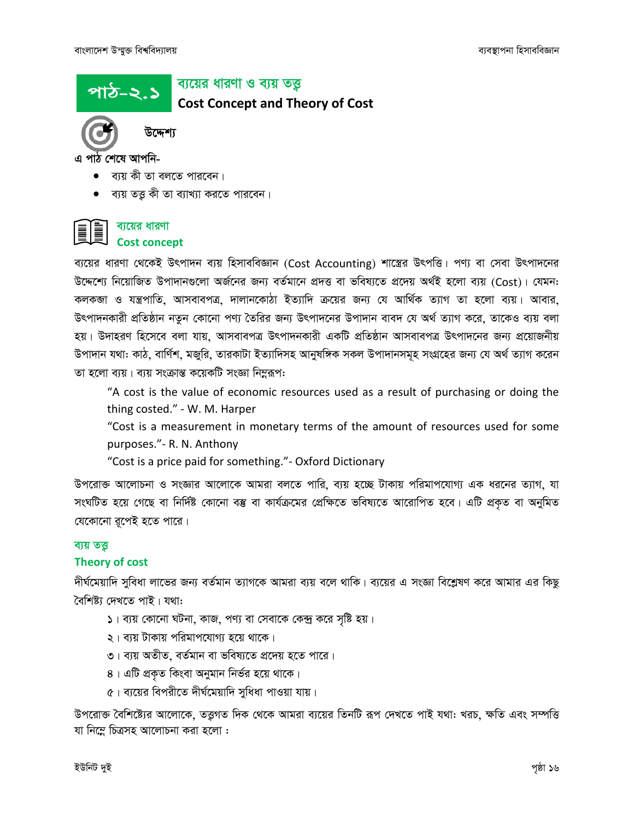

#### ব্যয়ের ধারণা ও ব্যয় তত্ত

**Cost Concept and Theory of Cost** 



উদ্দেশ্য

এ পাঠ শেষে আপনি-

- ব্যয় কী তা বলতে পারবেন।
- ব্যয় তত্ত্ব কী তা ব্যাখ্যা করতে পারবেন।

# ব্যয়ের ধারণা

# **Cost concept**

ব্যয়ের ধারণা থেকেই উৎপাদন ব্যয় হিসাববিজ্ঞান (Cost Accounting) শাস্ত্রের উৎপত্তি। পণ্য বা সেবা উৎপাদনের উদ্দেশ্যে নিয়োজিত উপাদানগুলো অর্জনের জন্য বর্তমানে প্রদত্ত বা ভবিষ্যতে প্রদেয় অর্থই হলো ব্যয় (Cost)। যেমন: কলকজা ও যন্ত্রপাতি, আসবাবপত্র, দালানকোঠা ইত্যাদি ক্রয়ের জন্য যে আর্থিক ত্যাগ তা হলো ব্যয়। আবার, উৎপাদনকারী প্রতিষ্ঠান নতুন কোনো পণ্য তৈরির জন্য উৎপাদনের উপাদান বাবদ যে অর্থ ত্যাগ করে, তাকেও ব্যয় বলা হয়। উদাহরণ হিসেবে বলা যায়, আসবাবপত্র উৎপাদনকারী একটি প্রতিষ্ঠান আসবাবপত্র উৎপাদনের জন্য প্রয়োজনীয় উপাদান যথা: কাঠ, বার্ণিশ, মজুরি, তারকাটা ইত্যাদিসহ আনুষঙ্গিক সকল উপাদানসমূহ সংগ্রহের জন্য যে অর্থ ত্যাগ করেন তা হলো ব্যয়। ব্যয় সংক্রান্ত কয়েকটি সংজ্ঞা নিম্নরূপ:

"A cost is the value of economic resources used as a result of purchasing or doing the thing costed." - W. M. Harper

"Cost is a measurement in monetary terms of the amount of resources used for some purposes." - R. N. Anthony

"Cost is a price paid for something." - Oxford Dictionary

উপরোক্ত আলোচনা ও সংজ্ঞার আলোকে আমরা বলতে পারি, ব্যয় হচ্ছে টাকায় পরিমাপযোগ্য এক ধরনের ত্যাগ, যা সংঘটিত হয়ে গেছে বা নির্দিষ্ট কোনো বম্ভ বা কার্যক্রমের প্রেক্ষিতে ভবিষ্যতে আরোপিত হবে। এটি প্রকৃত বা অনুমিত যেকোনো রূপেই হতে পারে।

## ব্যয় তত্ত

#### Theory of cost

দীর্ঘমেয়াদি সুবিধা লাভের জন্য বর্তমান ত্যাগকে আমরা ব্যয় বলে থাকি। ব্যয়ের এ সংজ্ঞা বিশ্লেষণ করে আমার এর কিছু বৈশিষ্ট্য দেখতে পাই। যথা:

- ১। ব্যয় কোনো ঘটনা, কাজ, পণ্য বা সেবাকে কেন্দ্র করে সৃষ্টি হয়।
- ২। ব্যয় টাকায় পরিমাপযোগ্য হয়ে থাকে।
- ৩। ব্যয় অতীত, বৰ্তমান বা ভবিষ্যতে প্ৰদেয় হতে পাৱে।
- ৪। এটি প্রকৃত কিংবা অনুমান নির্ভর হয়ে থাকে।
- ৫। ব্যয়ের বিপরীতে দীর্ঘমেয়াদি সুধিধা পাওয়া যায়।

উপরোক্ত বৈশিষ্ট্যের আলোকে, তত্তুগত দিক থেকে আমরা ব্যয়ের তিনটি রূপ দেখতে পাই যথা: খরচ, ক্ষতি এবং সম্পত্তি যা নিম্নে চিত্রসহ আলোচনা করা হলো :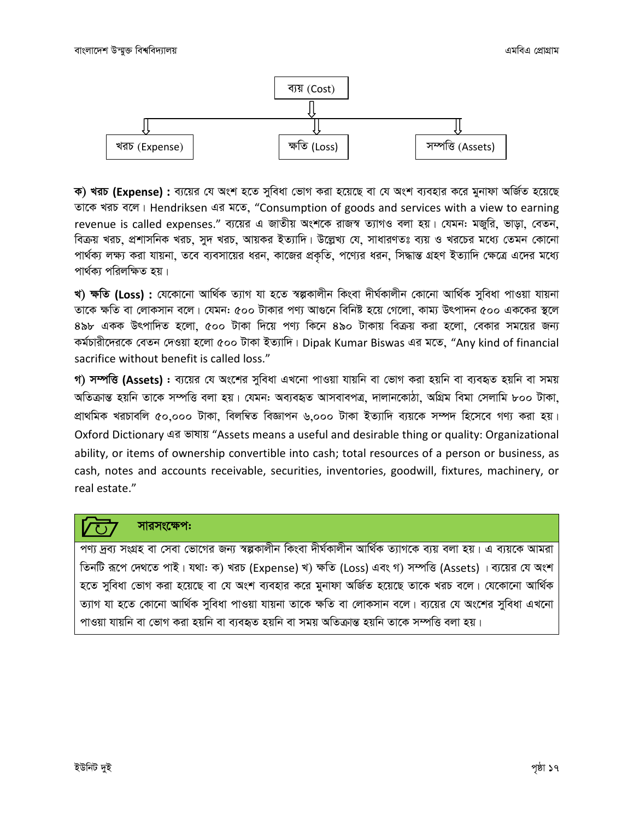

ক) খরচ (Expense) : ব্যয়ের যে অংশ হতে সুবিধা ভোগ করা হয়েছে বা যে অংশ ব্যবহার করে মুনাফা অর্জিত হয়েছে তাকে খরচ বলে। Hendriksen এর মতে, "Consumption of goods and services with a view to earning revenue is called expenses." ব্যয়ের এ জাতীয় অংশকে রাজস্ব ত্যাগও বলা হয়। যেমন: মজুরি, ভাড়া, বেতন, বিক্রয় খরচ, প্রশাসনিক খরচ, সুদ খরচ, আয়কর ইত্যাদি। উল্লেখ্য যে, সাধারণতঃ ব্যয় ও খরচের মধ্যে তেমন কোনো পার্থক্য লক্ষ্য করা যায়না, তবে ব্যবসায়ের ধরন, কাজের প্রকৃতি, পণ্যের ধরন, সিদ্ধান্ত গ্রহণ ইত্যাদি ক্ষেত্রে এদের মধ্যে পার্থক্য পরিলক্ষিত হয়।

খ) ক্ষতি (Loss) : যেকোনো আৰ্থিক ত্যাগ যা হতে স্বল্পকালীন কিংবা দীৰ্ঘকালীন কোনো আৰ্থিক সুবিধা পাওয়া যায়না তাকে ক্ষতি বা লোকসান বলে। যেমন: ৫০০ টাকার পণ্য আগুনে বিনিষ্ট হয়ে গেলো, কাম্য উৎপাদন ৫০০ এককের স্থলে ৪৯৮ একক উৎপাদিত হলো, ৫০০ টাকা দিয়ে পণ্য কিনে ৪৯০ টাকায় বিক্রয় করা হলো, বেকার সময়ের জন্য কর্মচারীদেরকে বেতন দেওয়া হলো ৫০০ টাকা ইত্যাদি। Dipak Kumar Biswas এর মতে, "Any kind of financial sacrifice without benefit is called loss."

গ) সম্পত্তি (Assets) : ব্যয়ের যে অংশের সুবিধা এখনো পাওয়া যায়নি বা ভোগ করা হয়নি বা ব্যবহৃত হয়নি বা সময় অতিক্ৰান্ত হয়নি তাকে সম্পত্তি বলা হয়। যেমন: অব্যবহৃত আসবাবপত্ৰ, দালানকোঠা, অগ্ৰিম বিমা সেলামি ৮০০ টাকা, প্রাথমিক খরচাবলি ৫০.০০০ টাকা, বিলম্বিত বিজ্ঞাপন ৬.০০০ টাকা ইত্যাদি ব্যয়কে সম্পদ হিসেবে গণ্য করা হয়। Oxford Dictionary এর ভাষায় "Assets means a useful and desirable thing or quality: Organizational ability, or items of ownership convertible into cash; total resources of a person or business, as cash, notes and accounts receivable, securities, inventories, goodwill, fixtures, machinery, or real estate."

### সারসংক্ষেপ:

পণ্য দ্রব্য সংগ্রহ বা সেবা ভোগের জন্য স্বল্পকালীন কিংবা দীর্ঘকালীন আর্থিক ত্যাগকে ব্যয় বলা হয়। এ ব্যয়কে আমরা তিনটি রূপে দেথতে পাই। যথা: ক) খরচ (Expense) খ) ক্ষতি (Loss) এবং গ) সম্পত্তি (Assets) । ব্যয়ের যে অংশ হতে সুবিধা ভোগ করা হয়েছে বা যে অংশ ব্যবহার করে মুনাফা অর্জিত হয়েছে তাকে খরচ বলে। যেকোনো আর্থিক ত্যাগ যা হতে কোনো আৰ্থিক সুবিধা পাওয়া যায়না তাকে ক্ষতি বা লোকসান বলে। ব্যয়ের যে অংশের সুবিধা এখনো পাওয়া যায়নি বা ভোগ করা হয়নি বা ব্যবহৃত হয়নি বা সময় অতিক্রান্ত হয়নি তাকে সম্পত্তি বলা হয়।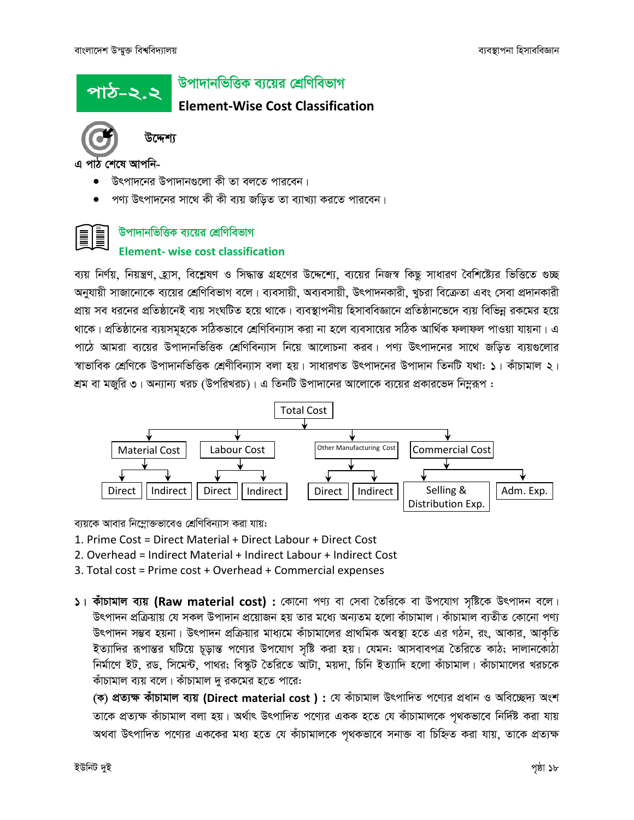

# উপাদানভিত্তিক ব্যয়ের শ্রেণিবিভাগ

**Element-Wise Cost Classification** 



উদ্দেশ্য

এ পাঠ শেষে আপনি-

- উৎপাদনের উপাদানগুলো কী তা বলতে পারবেন।
- পণ্য উৎপাদনের সাথে কী কী ব্যয় জড়িত তা ব্যাখ্যা করতে পারবেন।

# উপাদানভিত্তিক ব্যয়ের শ্রেণিবিভাগ **Element- wise cost classification**

ব্যয় নির্ণয়, নিয়ন্ত্রণ, হ্রাস, বিশ্লেষণ ও সিদ্ধান্ত গ্রহণের উদ্দেশ্যে, ব্যয়ের নিজস্ব কিছু সাধারণ বৈশিষ্ট্যের ভিত্তিতে গুচ্ছ অনুযায়ী সাজানোকে ব্যয়ের শ্রেণিবিভাগ বলে। ব্যবসায়ী, অব্যবসায়ী, উৎপাদনকারী, খুচরা বিক্রেতা এবং সেবা প্রদানকারী প্রায় সব ধরনের প্রতিষ্ঠানেই ব্যয় সংঘটিত হয়ে থাকে। ব্যবস্থাপনীয় হিসাববিজ্ঞানে প্রতিষ্ঠানভেদে ব্যয় বিভিন্ন রকমের হয়ে থাকে। প্রতিষ্ঠানের ব্যয়সমূহকে সঠিকভাবে শ্রেণিবিন্যাস করা না হলে ব্যবসায়ের সঠিক আর্থিক ফলাফল পাওয়া যায়না। এ পাঠে আমরা ব্যয়ের উপাদানভিত্তিক শ্রেণিবিন্যাস নিয়ে আলোচনা করব। পণ্য উৎপাদনের সাথে জড়িত ব্যয়গুলোর স্বাভাবিক শ্রেণিকে উপাদানভিত্তিক শ্রেণীবিন্যাস বলা হয়। সাধারণত উৎপাদনের উপাদান তিনটি যথা: ১। কাঁচামাল ২। শ্রম বা মজুরি ৩। অন্যান্য খরচ (উপরিখরচ)। এ তিনটি উপাদানের আলোকে ব্যয়ের প্রকারভেদ নিমুরূপ :



ব্যয়কে আবার নিম্নোক্তভাবেও শ্রেণিবিন্যাস করা যায়:

- 1. Prime Cost = Direct Material + Direct Labour + Direct Cost
- 2. Overhead = Indirect Material + Indirect Labour + Indirect Cost
- 3. Total cost = Prime cost + Overhead + Commercial expenses
- $\vert$  ১। কাঁচামাল ব্যয় (Raw material cost) : কোনো পণ্য বা সেবা তৈরিকে বা উপযোগ সৃষ্টিকে উৎপাদন বলে। উৎপাদন প্রক্রিয়ায় যে সকল উপাদান প্রয়োজন হয় তার মধ্যে অন্যতম হলো কাঁচামাল। কাঁচামাল ব্যতীত কোনো পণ্য উৎপাদন সম্ভব হয়না। উৎপাদন প্রক্রিয়ার মাধ্যমে কাঁচামালের প্রাথমিক অবস্থা হতে এর গঠন, রং, আকার, আকৃতি ইত্যাদির রূপান্তর ঘটিয়ে চূড়ান্ত পণ্যের উপযোগ সৃষ্টি করা হয়। যেমন: আসবাবপত্র তৈরিতে কাঠ; দালানকোঠা নির্মাণে ইট. রড. সিমেন্ট. পাথর; বিস্কুট তৈরিতে আটা, ময়দা, চিনি ইত্যাদি হলো কাঁচামাল। কাঁচামালের খরচকে কাঁচামাল ব্যয় বলে। কাঁচামাল দু রকমের হতে পারে:

(ক) প্ৰত্যক্ষ কাঁচামাল ব্যয় (Direct material cost) : যে কাঁচামাল উৎপাদিত পণ্যের প্ৰধান ও অবিচ্ছেদ্য অংশ তাকে প্রত্যক্ষ কাঁচামাল বলা হয়। অর্থাৎ উৎপাদিত পণ্যের একক হতে যে কাঁচামালকে পৃথকভাবে নির্দিষ্ট করা যায় অথবা উৎপাদিত পণ্যের এককের মধ্য হতে যে কাঁচামালকে পৃথকভাবে সনাক্ত বা চিহ্নিত করা যায়, তাকে প্রত্যক্ষ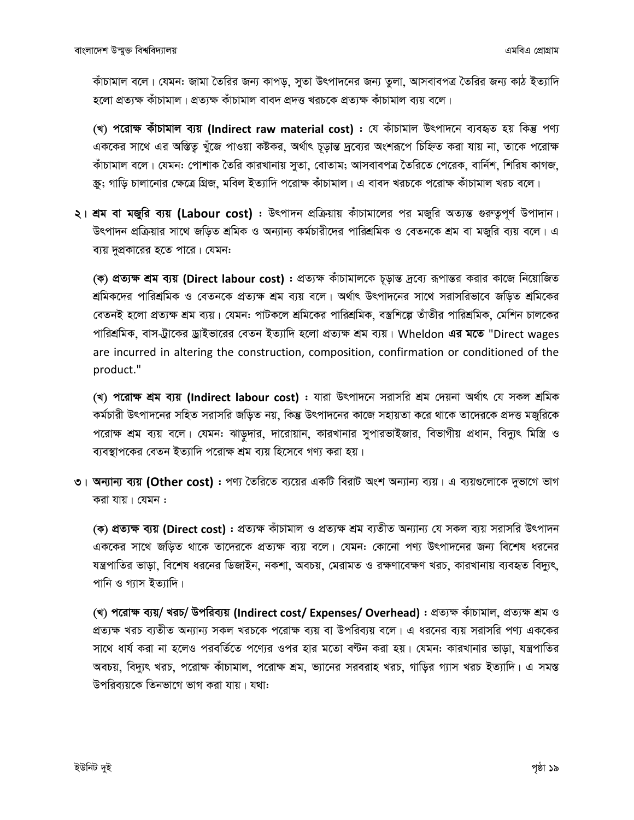কাঁচামাল বলে। যেমন: জামা তৈরির জন্য কাপড়, সুতা উৎপাদনের জন্য তুলা, আসবাবপত্র তৈরির জন্য কাঠ ইত্যাদি হলো প্ৰত্যক্ষ কাঁচামাল। প্ৰত্যক্ষ কাঁচামাল বাবদ প্ৰদত্ত খরচকে প্ৰত্যক্ষ কাঁচামাল ব্যয় বলে।

(খ) পরোক্ষ কাঁচামাল ব্যয় (Indirect raw material cost) : যে কাঁচামাল উৎপাদনে ব্যবহৃত হয় কিন্তু পণ্য এককের সাথে এর অস্তিত্ব খুঁজে পাওয়া কষ্টকর, অর্থাৎ চূড়ান্ত দ্রব্যের অংশরূপে চিহ্নিত করা যায় না, তাকে পরোক্ষ কাঁচামাল বলে। যেমন: পোশাক তৈরি কারখানায় সুতা, বোতাম; আসবাবপত্র তৈরিতে পেরেক, বার্নিশ, শিরিষ কাগজ. স্ক্র; গাড়ি চালানোর ক্ষেত্রে গ্রিজ, মবিল ইত্যাদি পরোক্ষ কাঁচামাল। এ বাবদ খরচকে পরোক্ষ কাঁচামাল খরচ বলে।

২। শ্রম বা মজুরি ব্যয় (Labour cost) : উৎপাদন প্রক্রিয়ায় কাঁচামালের পর মজুরি অত্যন্ত গুরুতুপূর্ণ উপাদান। উৎপাদন প্রক্রিয়ার সাথে জড়িত শ্রমিক ও অন্যান্য কর্মচারীদের পারিশ্রমিক ও বেতনকে শ্রম বা মজুরি ব্যয় বলে। এ ব্যয় দুপ্রকারের হতে পারে। যেমন:

(ক) প্রত্যক্ষ শ্রম ব্যয় (Direct labour cost) : প্রত্যক্ষ কাঁচামালকে চূড়ান্ত দ্রব্যে রূপান্তর করার কাজে নিয়োজিত শ্রমিকদের পারিশ্রমিক ও বেতনকে প্রত্যক্ষ শ্রম ব্যয় বলে। অর্থাৎ উৎপাদনের সাথে সরাসরিভাবে জড়িত শ্রমিকের বেতনই হলো প্ৰত্যক্ষ শ্ৰম ব্যয়। যেমন: পাটকলে শ্ৰমিকের পারিশ্ৰমিক, বস্ত্রশিল্পে তাঁতীর পারিশ্রমিক, মেশিন চালকের পারিশ্রমিক, বাস-ট্রাকের ড্রাইভারের বেতন ইত্যাদি হলো প্রত্যক্ষ শ্রম ব্যয়। Wheldon **এর মতে "**Direct wages are incurred in altering the construction, composition, confirmation or conditioned of the product."

(খ) পরোক্ষ শ্রম ব্যয় (Indirect labour cost) : যারা উৎপাদনে সরাসরি শ্রম দেয়না অর্থাৎ যে সকল শ্রমিক কর্মচারী উৎপাদনের সহিত সরাসরি জড়িত নয়, কিন্তু উৎপাদনের কাজে সহায়তা করে থাকে তাদেরকে প্রদত্ত মজুরিকে পরোক্ষ শ্রম ব্যয় বলে। যেমন: ঝাড়দার, দারোয়ান, কারখানার সুপারভাইজার, বিভাগীয় প্রধান, বিদ্যুৎ মিস্ত্রি ও ব্যবস্থাপকের বেতন ইত্যাদি পরোক্ষ শ্রম ব্যয় হিসেবে গণ্য করা হয়।

**৩। অন্যান্য ব্যয় (Other cost) :** পণ্য তৈরিতে ব্যয়ের একটি বিরাট অংশ অন্যান্য ব্যয়। এ ব্যয়গুলোকে দুভাগে ভাগ  $\sigma$ রা যায়। যেমন:

(ক) প্ৰত্যক্ষ ব্যয় (Direct cost) : প্ৰত্যক্ষ কাঁচামাল ও প্ৰত্যক্ষ শ্ৰম ব্যতীত অন্যান্য যে সকল ব্যয় সরাসরি উৎপাদন এককের সাথে জড়িত থাকে তাদেরকে প্রত্যক্ষ ব্যয় বলে। যেমন: কোনো পণ্য উৎপাদনের জন্য বিশেষ ধরনের যন্ত্রপাতির ভাড়া, বিশেষ ধরনের ডিজাইন, নকশা, অবচয়, মেরামত ও রক্ষণাবেক্ষণ খরচ, কারখানায় ব্যবহৃত বিদ্যুৎ, <u>পানি ও গ্যাস ইত্যাদি।</u>

(খ) পরোক্ষ ব্যয়/ খরচ/ উপরিব্যয় (Indirect cost/ Expenses/ Overhead) : প্রত্যক্ষ কাঁচামাল, প্রত্যক্ষ শ্রম ও প্রত্যক্ষ খরচ ব্যতীত অন্যান্য সকল খরচকে পরোক্ষ ব্যয় বা উপরিব্যয় বলে। এ ধরনের ব্যয় সরাসরি পণ্য এককের সাথে ধার্য করা না হলেও পরবর্তিতে পণ্যের ওপর হার মতো বণ্টন করা হয়। যেমন: কারখানার ভাড়া, যন্ত্রপাতির অবচয়, বিদ্যুৎ খরচ, পরোক্ষ কাঁচামাল, পরোক্ষ শ্রম, ভ্যানের সরবরাহ খরচ, গাড়ির গ্যাস খরচ ইত্যাদি। এ সমস্ত উপরিব্যয়কে তিনভাগে ভাগ করা যায়। যথা: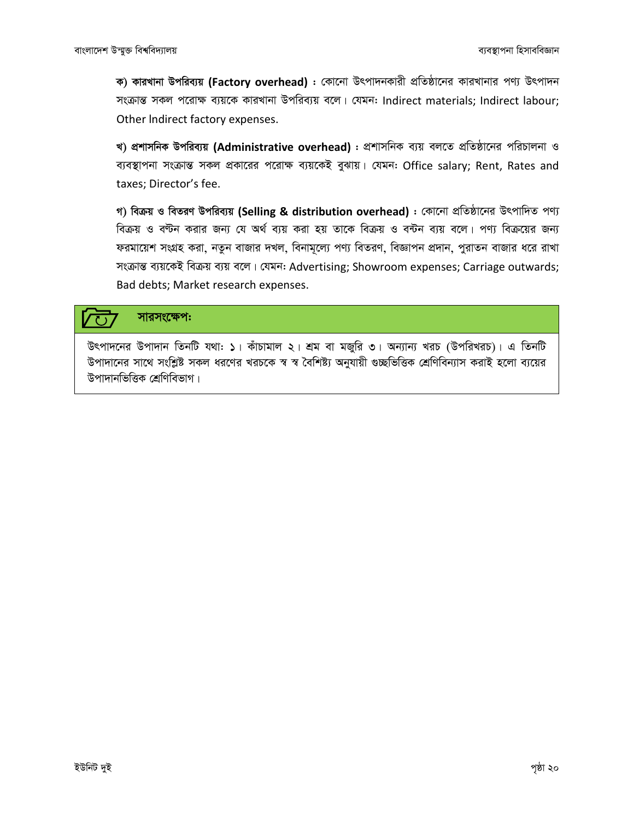ক) কারখানা উপরিব্যয় (Factory overhead) : কোনো উৎপাদনকারী প্রতিষ্ঠানের কারখানার পণ্য উৎপাদন সংক্রান্ত সকল পরোক্ষ ব্যয়কে কারখানা উপরিব্যয় বলে। যেমন: Indirect materials; Indirect labour; Other lndirect factory expenses.

খ) প্রশাসনিক উপরিব্যয় (Administrative overhead) : প্রশাসনিক ব্যয় বলতে প্রতিষ্ঠানের পরিচালনা ও ব্যবস্থাপনা সংক্রান্ত সকল প্রকারের পরোক্ষ ব্যয়কেই বুঝায়। যেমন: Office salary; Rent, Rates and taxes; Director's fee.

গ) বিক্রয় ও বিতরণ উপরিব্যয় (Selling & distribution overhead) : কোনো প্রতিষ্ঠানের উৎপাদিত পণ্য বিক্রয় ও বণ্টন করার জন্য যে অর্থ ব্যয় করা হয় তাকে বিক্রয় ও বন্টন ব্যয় বলে। পণ্য বিক্রয়ের জন্য ফরমায়েশ সংগ্রহ করা, নতুন বাজার দখল, বিনামূল্যে পণ্য বিতরণ, বিজ্ঞাপন প্রদান, পুরাতন বাজার ধরে রাখা সংক্রান্ত ব্যয়কেই বিক্রয় ব্যয় বলে। যেমন: Advertising; Showroom expenses; Carriage outwards; Bad debts; Market research expenses.

#### সারসংক্ষেপ:  $\zeta$

উৎপাদনের উপাদান তিনটি যথা: ১। কাঁচামাল ২। শ্রম বা মজুরি ৩। অন্যান্য খরচ (উপরিখরচ)। এ তিনটি উপাদানের সাথে সংশ্লিষ্ট সকল ধরণের খরচকে স্ব স্ব বৈশিষ্ট্য অনুযায়ী গুচ্ছভিত্তিক শ্রেণিবিন্যাস করাই হলো ব্যয়ের উপাদানভিত্তিক শ্ৰেণিবিভাগ।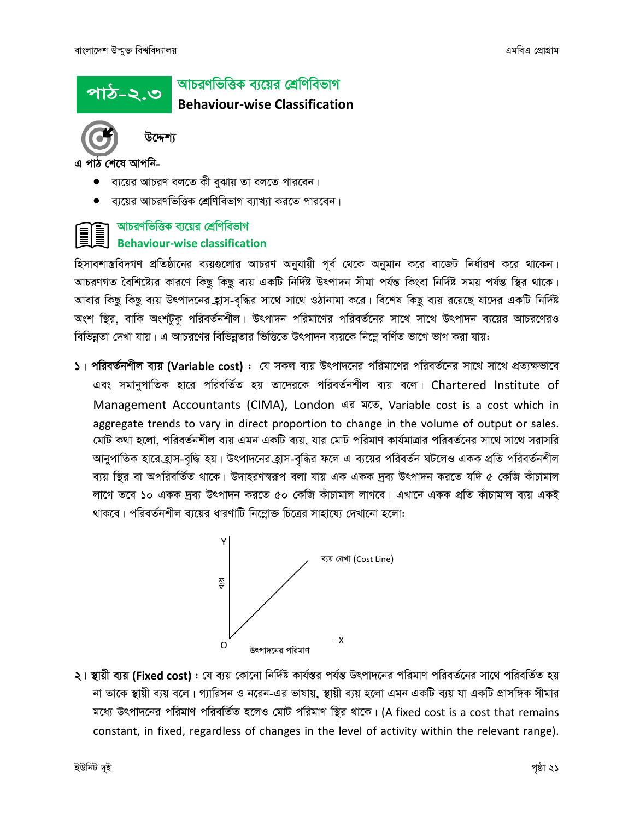

# আচরণভিত্তিক ব্যয়ের শ্রেণিবিভাগ

Behaviour-wise Classification

উদ্দেশ্য

এ পাঠ শেষে আপনি-

- ব্যয়ের আচরণ বলতে কী বুঝায় তা বলতে পারবেন।
- ব্যয়ের আচরণভিত্তিক শ্রেণিবিভাগ ব্যাখ্যা করতে পারবেন।

#### আচরণভিত্তিক ব্যয়ের শ্রেণিবিভাগ **II** Behaviour-wise classification

হিসাবশাস্ত্রবিদগণ প্রতিষ্ঠানের ব্যয়গুলোর আচরণ অনুযায়ী পূর্ব থেকে অনুমান করে বাজেট নির্ধারণ করে থাকেন। আচরণগত বৈশিষ্ট্যের কারণে কিছু কিছু ব্যয় একটি নির্দিষ্ট উৎপাদন সীমা পর্যন্ত কিংবা নির্দিষ্ট সময় পর্যন্ত স্থির থাকে। আবার কিছু কিছু ব্যয় উৎপাদনের হ্রাস-বৃদ্ধির সাথে সাথে ওঠানামা করে। বিশেষ কিছু ব্যয় রয়েছে যাদের একটি নির্দিষ্ট অংশ স্থির, বাকি অংশটুকু পরিবর্তনশীল। উৎপাদন পরিমাণের পরিবর্তনের সাথে সাথে উৎপাদন ব্যয়ের আচরণেরও বিভিন্নতা দেখা যায়। এ আচরণের বিভিন্নতার ভিত্তিতে উৎপাদন ব্যয়কে নিম্নে বর্ণিত ভাগে ভাগ করা যায়:

 $|p|$  পরিবর্তনশীল ব্যয় (Variable cost) : যে সকল ব্যয় উৎপাদনের পরিমাণের পরিবর্তনের সাথে সাথে প্রত্যক্ষভাবে এবং সমানুপাতিক হারে পরিবর্তিত হয় তাদেরকে পরিবর্তনশীল ব্যয় বলে। Chartered Institute of Management Accountants (CIMA), London এর মতে, Variable cost is a cost which in aggregate trends to vary in direct proportion to change in the volume of output or sales. মোট কথা হলো, পরিবর্তনশীল ব্যয় এমন একটি ব্যয়, যার মোট পরিমাণ কার্যমাত্রার পরিবর্তনের সাথে সাথে সরাসরি আনুপাতিক হারে হ্রাস-বৃদ্ধি হয়। উৎপাদনের হ্রাস-বৃদ্ধির ফলে এ ব্যয়ের পরিবর্তন ঘটলেও একক প্রতি পরিবর্তনশীল ব্যয় স্থির বা অপরিবর্তিত থাকে। উদাহরণস্বরূপ বলা যায় এক একক দ্রব্য উৎপাদন করতে যদি ৫ কেজি কাঁচামাল লাগে তবে **১**০ একক দ্ৰব্য উৎপাদন করতে ৫০ কেজি কাঁচামাল লাগবে। এখানে একক প্ৰতি কাঁচামাল ব্যয় একই থাকবে। পরিবর্তনশীল ব্যয়ের ধারণাটি নিম্লোক্ত চিত্রের সাহায্যে দেখানো হলো:



 $2$ । স্থায়ী ব্যয় (Fixed cost) : যে ব্যয় কোনো নির্দিষ্ট কার্যস্তর পর্যন্ত উৎপাদনের পরিমাণ পরিবর্তনের সাথে পরিবর্তিত হয় না তাকে স্থায়ী ব্যয় বলে। গ্যারিসন ও নরেন-এর ভাষায়, স্থায়ী ব্যয় হলো এমন একটি ব্যয় যা একটি প্রাসঙ্গিক সীমার মধ্যে উৎপাদনের পরিমাণ পরিবর্তিত হলেও মোট পরিমাণ স্থির থাকে। (A fixed cost is a cost that remains constant, in fixed, regardless of changes in the level of activity within the relevant range).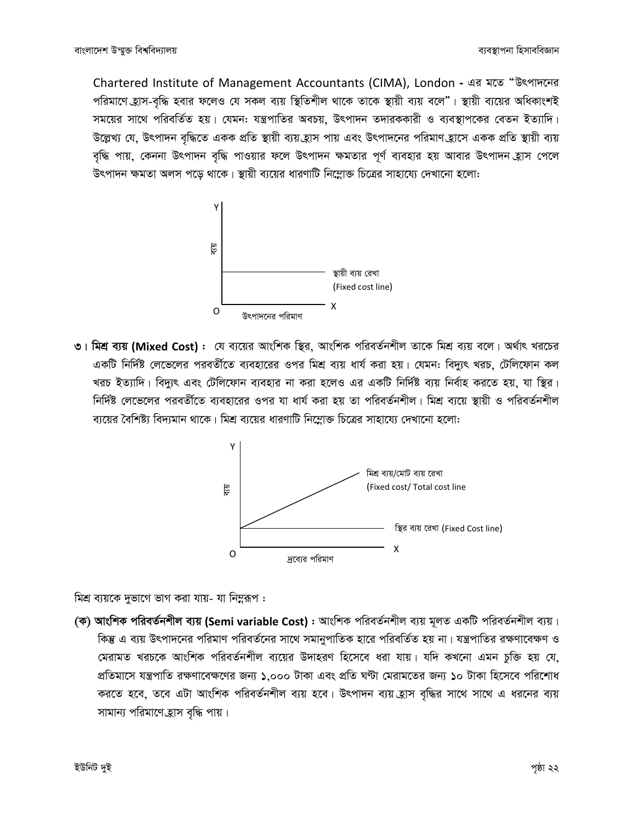Chartered Institute of Management Accountants (CIMA), London - এর মতে "উৎপাদনের পরিমাণে হ্রাস-বৃদ্ধি হবার ফলেও যে সকল ব্যয় স্থিতিশীল থাকে তাকে স্থায়ী ব্যয় বলে"। স্থায়ী ব্যয়ের অধিকাংশই সময়ের সাথে পরিবর্তিত হয়। যেমন: যন্ত্রপাতির অবচয়, উৎপাদন তদারককারী ও ব্যবস্থাপকের বেতন ইত্যাদি। উল্লেখ্য যে. উৎপাদন বদ্ধিতে একক প্রতি স্থায়ী ব্যয় হ্রাস পায় এবং উৎপাদনের পরিমাণ হ্রাসে একক প্রতি স্থায়ী ব্যয় বৃদ্ধি পায়, কেননা উৎপাদন বৃদ্ধি পাওয়ার ফলে উৎপাদন ক্ষমতার পূর্ণ ব্যবহার হয় আবার উৎপাদন হ্রাস পেলে উৎপাদন ক্ষমতা অলস পড়ে থাকে। স্থায়ী ব্যয়ের ধারণাটি নিম্নোক্ত চিত্রের সাহায্যে দেখানো হলো:



৩। **মিশ্র ব্যয় (Mixed Cost)** : যে ব্যয়ের আংশিক স্থির, আংশিক পরিবর্তনশীল তাকে মিশ্র ব্যয় বলে। অর্থাৎ খরচের একটি নির্দিষ্ট লেভেলের পরবর্তীতে ব্যবহারের ওপর মিশ্র ব্যয় ধার্য করা হয়। যেমন: বিদ্যুৎ খরচ, টেলিফোন কল খরচ ইত্যাদি। বিদ্যুৎ এবং টেলিফোন ব্যবহার না করা হলেও এর একটি নির্দিষ্ট ব্যয় নির্বাহ করতে হয়, যা স্থির। নির্দিষ্ট লেভেলের পরবর্তীতে ব্যবহারের ওপর যা ধার্য করা হয় তা পরিবর্তনশীল। মিশ্র ব্যয়ে স্থায়ী ও পরিবর্তনশীল ব্যয়ের বৈশিষ্ট্য বিদ্যমান থাকে। মিশ্র ব্যয়ের ধারণাটি নিম্লোক্ত চিত্রের সাহায্যে দেখানো হলো:



মিশ্র ব্যয়কে দুভাগে ভাগ করা যায়- যা নিমুরূপ :

(ক) আংশিক পরিবর্তনশীল ব্যয় (Semi variable Cost) : আংশিক পরিবর্তনশীল ব্যয় মূলত একটি পরিবর্তনশীল ব্যয়। কিন্তু এ ব্যয় উৎপাদনের পরিমাণ পরিবর্তনের সাথে সমানুপাতিক হারে পরিবর্তিত হয় না। যন্ত্রপাতির রক্ষণাবেক্ষণ ও মেরামত খরচকে আংশিক পরিবর্তনশীল ব্যয়ের উদাহরণ হিসেবে ধরা যায়। যদি কখনো এমন চুক্তি হয় যে, প্রতিমাসে যন্ত্রপাতি রক্ষণাবেক্ষণের জন্য ১,০০০ টাকা এবং প্রতি ঘণ্টা মেরামতের জন্য ১০ টাকা হিসেবে পরিশোধ করতে হবে, তবে এটা আংশিক পরিবর্তনশীল ব্যয় হবে। উৎপাদন ব্যয় হ্রাস বৃদ্ধির সাথে সাথে এ ধরনের ব্যয় সামান্য পরিমাণে হ্রাস বৃদ্ধি পায়।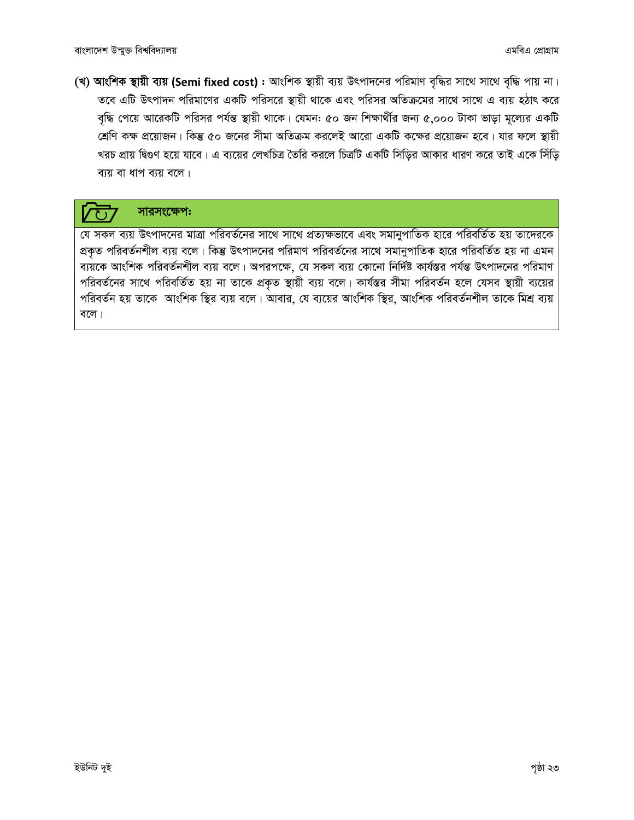(খ) আংশিক স্থায়ী ব্যয় (Semi fixed cost) : আংশিক স্থায়ী ব্যয় উৎপাদনের পরিমাণ বৃদ্ধির সাথে সাথে বৃদ্ধি পায় না। তবে এটি উৎপাদন পরিমাণের একটি পরিসরে স্থায়ী থাকে এবং পরিসর অতিক্রমের সাথে সাথে এ ব্যয় হঠাৎ করে বৃদ্ধি পেয়ে আরেকটি পরিসর পর্যন্ত স্থায়ী থাকে। যেমন: ৫০ জন শিক্ষার্থীর জন্য ৫,০০০ টাকা ভাড়া মূল্যের একটি শ্রেণি কক্ষ প্রয়োজন। কিন্তু ৫০ জনের সীমা অতিক্রম করলেই আরো একটি কক্ষের প্রয়োজন হবে। যার ফলে স্থায়ী খরচ প্রায় দ্বিগুণ হয়ে যাবে। এ ব্যয়ের লেখচিত্র তৈরি করলে চিত্রটি একটি সিডির আকার ধারণ করে তাই একে সিঁড়ি ব্যয় বা ধাপ ব্যয় বলে।

# সারসংক্ষেপ:

যে সকল ব্যয় উৎপাদনের মাত্রা পরিবর্তনের সাথে সাথে প্রত্যক্ষভাবে এবং সমানুপাতিক হারে পরিবর্তিত হয় তাদেরকে প্রকৃত পরিবর্তনশীল ব্যয় বলে। কিন্তু উৎপাদনের পরিমাণ পরিবর্তনের সাথে সমানুপাতিক হারে পরিবর্তিত হয় না এমন ব্যয়কে আংশিক পরিবর্তনশীল ব্যয় বলে। অপরপক্ষে, যে সকল ব্যয় কোনো নির্দিষ্ট কার্যস্তর পর্যন্ত উৎপাদনের পরিমাণ পরিবর্তনের সাথে পরিবর্তিত হয় না তাকে প্রকৃত স্থায়ী ব্যয় বলে। কার্যস্তর সীমা পরিবর্তন হলে যেসব স্থায়ী ব্যয়ের পরিবর্তন হয় তাকে আংশিক স্থির ব্যয় বলে। আবার, যে ব্যয়ের আংশিক স্থির, আংশিক পরিবর্তনশীল তাকে মিশ্র ব্যয় বলে।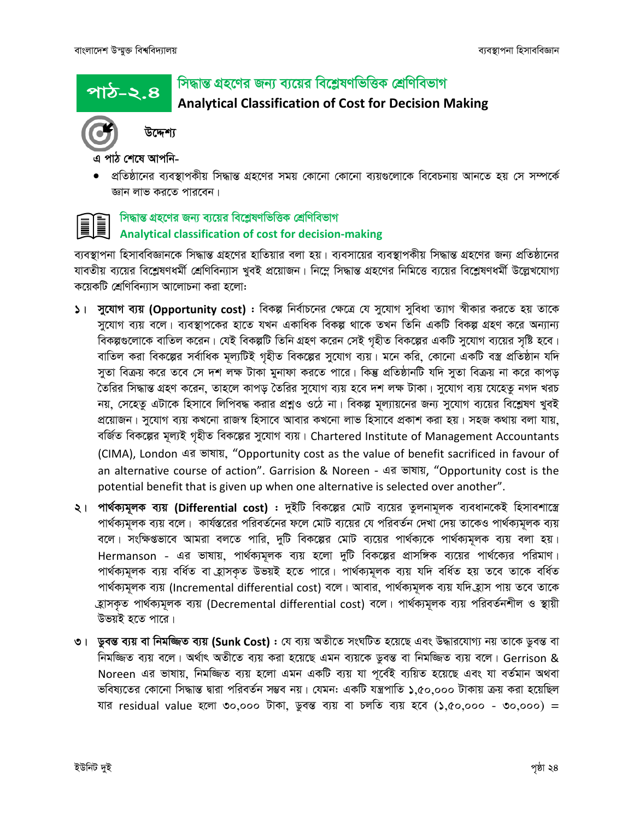পাঠ–২.৪

# সিদ্ধান্ত গ্রহণের জন্য ব্যয়ের বিশ্লেষণভিত্তিক শ্রেণিবিভাগ





উদ্দেশ্য

এ পাঠ শেষে আপনি-

প্রতিষ্ঠানের ব্যবস্থাপকীয় সিদ্ধান্ত গ্রহণের সময় কোনো কোনো ব্যয়গুলোকে বিবেচনায় আনতে হয় সে সম্পর্কে জ্ঞান লাভ করতে পারবেন।



ব্যবস্থাপনা হিসাববিজ্ঞানকে সিদ্ধান্ত গ্রহণের হাতিয়ার বলা হয়। ব্যবসায়ের ব্যবস্থাপকীয় সিদ্ধান্ত গ্রহণের জন্য প্রতিষ্ঠানের যাবতীয় ব্যয়ের বিশ্লেষণধর্মী শ্রেণিবিন্যাস খুবই প্রয়োজন। নিম্নে সিদ্ধান্ত গ্রহণের নিমিত্তে ব্যয়ের বিশ্লেষণধর্মী উল্লেখযোগ্য কয়েকটি শ্রেণিবিন্যাস আলোচনা করা হলো:

- ১। সুযোগ ব্যয় (Opportunity cost) : বিকল্প নির্বাচনের ক্ষেত্রে যে সুযোগ সুবিধা ত্যাগ স্বীকার করতে হয় তাকে সুযোগ ব্যয় বলে। ব্যবস্থাপকের হাতে যখন একাধিক বিকল্প থাকে তখন তিনি একটি বিকল্প গ্রহণ করে অন্যান্য বিকল্পগুলোকে বাতিল করেন। যেই বিকল্পটি তিনি গ্রহণ করেন সেই গৃহীত বিকল্পের একটি সুযোগ ব্যয়ের সৃষ্টি হবে। বাতিল করা বিকল্পের সর্বাধিক মূল্যটিই গৃহীত বিকল্পের সুযোগ ব্যয়। মনে করি, কোনো একটি বস্ত্র প্রতিষ্ঠান যদি সুতা বিক্রয় করে তবে সে দশ লক্ষ টাকা মুনাফা করতে পারে। কিন্তু প্রতিষ্ঠানটি যদি সুতা বিক্রয় না করে কাপড় তৈরির সিদ্ধান্ত গ্রহণ করেন, তাহলে কাপড় তৈরির সুযোগ ব্যয় হবে দশ লক্ষ টাকা। সুযোগ ব্যয় যেহেতু নগদ খরচ নয়, সেহেতু এটাকে হিসাবে লিপিবদ্ধ করার প্রশ্নও ওঠে না। বিকল্প মূল্যায়নের জন্য সুযোগ ব্যয়ের বিশ্লেষণ খুবই প্রয়োজন। সুযোগ ব্যয় কখনো রাজস্ব হিসাবে আবার কখনো লাভ হিসাবে প্রকাশ করা হয়। সহজ কথায় বলা যায়, বৰ্জিত বিকল্পের মূল্যই গৃহীত বিকল্পের সুযোগ ব্যয়। Chartered Institute of Management Accountants (CIMA), London এর ভাষায়, "Opportunity cost as the value of benefit sacrificed in favour of an alternative course of action". Garrision & Noreen - এর ভাষায়, "Opportunity cost is the potential benefit that is given up when one alternative is selected over another".
- ২। পার্থক্যমূলক ব্যয় (Differential cost) : দুইটি বিকল্পের মোট ব্যয়ের তুলনামূলক ব্যবধানকেই হিসাবশাস্ত্রে পার্থক্যমূলক ব্যয় বলে। কার্যস্তরের পরিবর্তনের ফলে মোট ব্যয়ের যে পরিবর্তন দেখা দেয় তাকেও পার্থক্যমূলক ব্যয় বলে। সংক্ষিপ্তভাবে আমরা বলতে পারি, দুটি বিকল্পের মোট ব্যয়ের পার্থক্যকে পার্থক্যমূলক ব্যয় বলা হয়। Hermanson - এর ভাষায়, পার্থক্যমূলক ব্যয় হলো দুটি বিকল্পের প্রাসঙ্গিক ব্যয়ের পার্থক্যের পরিমাণ। পাৰ্থক্যমূলক ব্যয় বৰ্ধিত বা হ্ৰাসকৃত উভয়ই হতে পাৱে। পাৰ্থক্যমূলক ব্যয় যদি বৰ্ধিত হয় তবে তাকে বৰ্ধিত পাৰ্থক্যমূলক ব্যয় (Incremental differential cost) বলে। আবার, পাৰ্থক্যমূলক ব্যয় যদি হ্রাস পায় তবে তাকে হ্রাসকৃত পার্থক্যমূলক ব্যয় (Decremental differential cost) বলে। পার্থক্যমূলক ব্যয় পরিবর্তনশীল ও স্থায়ী উভয়ই হতে পারে।
- ৩। ডুবন্ত ব্যয় বা নিমজ্জিত ব্যয় (Sunk Cost) : যে ব্যয় অতীতে সংঘটিত হয়েছে এবং উদ্ধারযোগ্য নয় তাকে ডুবন্ত বা নিমজ্জিত ব্যয় বলে। অর্থাৎ অতীতে ব্যয় করা হয়েছে এমন ব্যয়কে ডুবন্ত বা নিমজ্জিত ব্যয় বলে। Gerrison & Noreen এর ভাষায়, নিমজ্জিত ব্যয় হলো এমন একটি ব্যয় যা পর্বেই ব্যয়িত হয়েছে এবং যা বর্তমান অথবা ভবিষ্যতের কোনো সিদ্ধান্ত দ্বারা পরিবর্তন সম্ভব নয়। যেমন: একটি যন্ত্রপাতি ১.৫০.০০০ টাকায় ক্রয় করা হয়েছিল যার residual value হলো ৩০,০০০ টাকা, ডুবন্ত ব্যয় বা চলতি ব্যয় হবে (১,৫০,০০০ - ৩০,০০০) =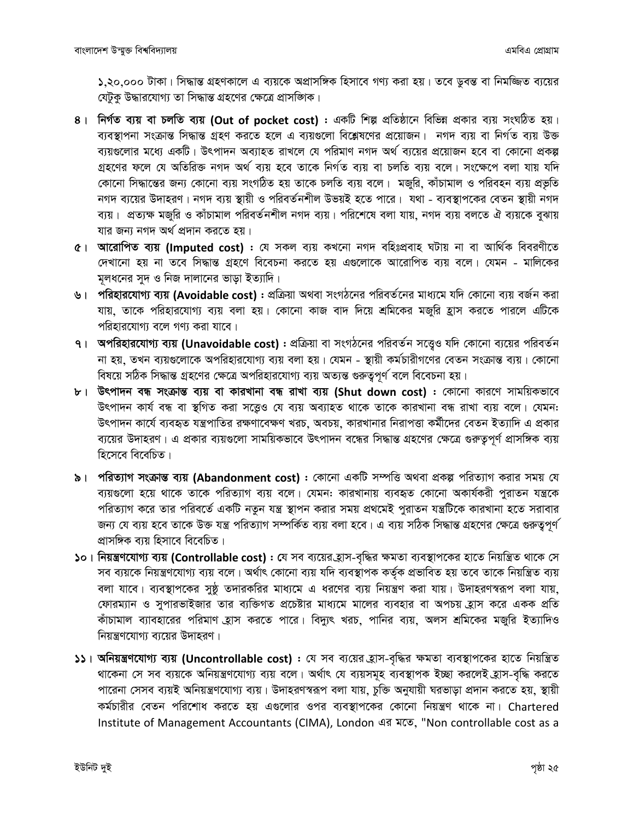১,২০,০০০ টাকা। সিদ্ধান্ত গ্রহণকালে এ ব্যয়কে অপ্রাসঙ্গিক হিসাবে গণ্য করা হয়। তবে ডুবন্ত বা নিমজ্জিত ব্যয়ের যেটক উদ্ধারযোগ্য তা সিদ্ধান্ত গ্রহণের ক্ষেত্রে প্রাসজ্ঞাক।

- ৪। নিৰ্গত ব্যয় বা চলতি ব্যয় (Out of pocket cost) : একটি শিল্প প্ৰতিষ্ঠানে বিভিন্ন প্ৰকার ব্যয় সংঘঠিত হয়। ব্যবস্থাপনা সংক্রান্ত সিদ্ধান্ত গ্রহণ করতে হলে এ ব্যয়গুলো বিশ্লেষণের প্রয়োজন। নগদ ব্যয় বা নির্গত ব্যয় উক্ত ব্যয়গুলোর মধ্যে একটি। উৎপাদন অব্যাহত রাখলে যে পরিমাণ নগদ অর্থ ব্যয়ের প্রয়োজন হবে বা কোনো প্রকল্প গ্রহণের ফলে যে অতিরিক্ত নগদ অর্থ ব্যয় হবে তাকে নির্গত ব্যয় বা চলতি ব্যয় বলে। সংক্ষেপে বলা যায় যদি কোনো সিদ্ধান্তের জন্য কোনো ব্যয় সংগঠিত হয় তাকে চলতি ব্যয় বলে। মজুরি, কাঁচামাল ও পরিবহন ব্যয় প্রভৃতি নগদ ব্যয়ের উদাহরণ। নগদ ব্যয় স্থায়ী ও পরিবর্তনশীল উভয়ই হতে পারে। যথা - ব্যবস্থাপকের বেতন স্থায়ী নগদ ব্যয়। প্রত্যক্ষ মজুরি ও কাঁচামাল পরিবর্তনশীল নগদ ব্যয়। পরিশেষে বলা যায়, নগদ ব্যয় বলতে ঐ ব্যয়কে বুঝায় যার জন্য নগদ অর্থ প্রদান করতে হয়।
- $\alpha$ । আরোপিত ব্যয় (Imputed cost) : যে সকল ব্যয় কখনো নগদ বহিঃপ্রবাহ ঘটায় না বা আর্থিক বিবরণীতে দেখানো হয় না তবে সিদ্ধান্ত গ্রহণে বিবেচনা করতে হয় এগুলোকে আরোপিত ব্যয় বলে। যেমন - মালিকের মূলধনের সুদ ও নিজ দালানের ভাড়া ইত্যাদি।
- ৬। পরিহারযোগ্য ব্যয় (Avoidable cost) : প্রক্রিয়া অথবা সংগঠনের পরিবর্তনের মাধ্যমে যদি কোনো ব্যয় বর্জন করা যায়, তাকে পরিহারযোগ্য ব্যয় বলা হয়। কোনো কাজ বাদ দিয়ে শ্রমিকের মজুরি হ্রাস করতে পারলে এটিকে পরিহারযোগ্য বলে গণ্য করা যাবে।
- ৭। অপরিহারযোগ্য ব্যয় (Unavoidable cost) : প্রক্রিয়া বা সংগঠনের পরিবর্তন সত্ত্বেও যদি কোনো ব্যয়ের পরিবর্তন না হয়, তখন ব্যয়গুলোকে অপরিহারযোগ্য ব্যয় বলা হয়। যেমন - স্থায়ী কর্মচারীগণের বেতন সংক্রান্ত ব্যয়। কোনো বিষয়ে সঠিক সিদ্ধান্ত গ্রহণের ক্ষেত্রে অপরিহারযোগ্য ব্যয় অত্যন্ত গুরুতুপূর্ণ বলে বিবেচনা হয়।
- ৮। উৎপাদন বন্ধ সংক্রান্ত ব্যয় বা কারখানা বন্ধ রাখা ব্যয় (Shut down cost) : কোনো কারণে সাময়িকভাবে উৎপাদন কার্য বন্ধ বা স্থগিত করা সত্ত্বেও যে ব্যয় অব্যাহত থাকে তাকে কারখানা বন্ধ রাখা ব্যয় বলে। যেমন: উৎপাদন কার্যে ব্যবহৃত যন্ত্রপাতির রক্ষণাবেক্ষণ খরচ. অবচয়. কারখানার নিরাপত্তা কর্মীদের বেতন ইত্যাদি এ প্রকার ব্যয়ের উদাহরণ। এ প্রকার ব্যয়গুলো সাময়িকভাবে উৎপাদন বন্ধের সিদ্ধান্ত গ্রহণের ক্ষেত্রে গুরুতুপূর্ণ প্রাসঙ্গিক ব্যয় হিসেবে বিবেচিত।
- ৯। পরিত্যাগ সংক্রান্ত ব্যয় (Abandonment cost) : কোনো একটি সম্পত্তি অথবা প্রকল্প পরিত্যাগ করার সময় যে ব্যয়গুলো হয়ে থাকে তাকে পরিত্যাগ ব্যয় বলে। যেমন: কারখানায় ব্যবহৃত কোনো অকার্যকরী পুরাতন যন্ত্রকে পরিত্যাগ করে তার পরিবর্তে একটি নতুন যন্ত্র স্থাপন করার সময় প্রথমেই পুরাতন যন্ত্রটিকে কারখানা হতে সরাবার জন্য যে ব্যয় হবে তাকে উক্ত যন্ত্র পরিত্যাগ সম্পর্কিত ব্যয় বলা হবে। এ ব্যয় সঠিক সিদ্ধান্ত গ্রহণের ক্ষেত্রে গুরুত্বপূর্ণ প্রাসঙ্গিক ব্যয় হিসাবে বিবেচিত।
- ১০। নিয়ন্ত্রণযোগ্য ব্যয় (Controllable cost) : যে সব ব্যয়ের হ্রাস-বৃদ্ধির ক্ষমতা ব্যবস্থাপকের হাতে নিয়ন্ত্রিত থাকে সে সব ব্যয়কে নিয়ন্ত্রণযোগ্য ব্যয় বলে। অর্থাৎ কোনো ব্যয় যদি ব্যবস্থাপক কর্তৃক প্রভাবিত হয় তবে তাকে নিয়ন্ত্রিত ব্যয় বলা যাবে। ব্যবস্থাপকের সুষ্ঠূ তদারকরির মাধ্যমে এ ধরণের ব্যয় নিয়ন্ত্রণ করা যায়। উদাহরণস্বরূপ বলা যায়, ফোরম্যান ও সুপারভাইজার তার ব্যক্তিগত প্রচেষ্টার মাধ্যমে মালের ব্যবহার বা অপচয় হ্রাস করে একক প্রতি কাঁচামাল ব্যাবহারের পরিমাণ হ্রাস করতে পারে। বিদ্যুৎ খরচ, পানির ব্যয়, অলস শ্রমিকের মজুরি ইত্যাদিও নিয়ন্ত্রণযোগ্য ব্যয়ের উদাহরণ।
- ১১। অনিয়ন্ত্রণযোগ্য ব্যয় (Uncontrollable cost) : যে সব ব্যয়ের হ্রাস-বৃদ্ধির ক্ষমতা ব্যবস্থাপকের হাতে নিয়ন্ত্রিত থাকেনা সে সব ব্যয়কে অনিয়ন্ত্রণযোগ্য ব্যয় বলে। অর্থাৎ যে ব্যয়সমূহ ব্যবস্থাপক ইচ্ছা করলেই হ্রাস-বৃদ্ধি করতে পারেনা সেসব ব্যয়ই অনিয়ন্ত্রণযোগ্য ব্যয়। উদাহরণস্বরূপ বলা যায়, চুক্তি অনুযায়ী ঘরভাড়া প্রদান করতে হয়, স্থায়ী কর্মচারীর বেতন পরিশোধ করতে হয় এগুলোর ওপর ব্যবস্থাপকের কোনো নিয়ন্ত্রণ থাকে না। Chartered Institute of Management Accountants (CIMA), London এর মতে, "Non controllable cost as a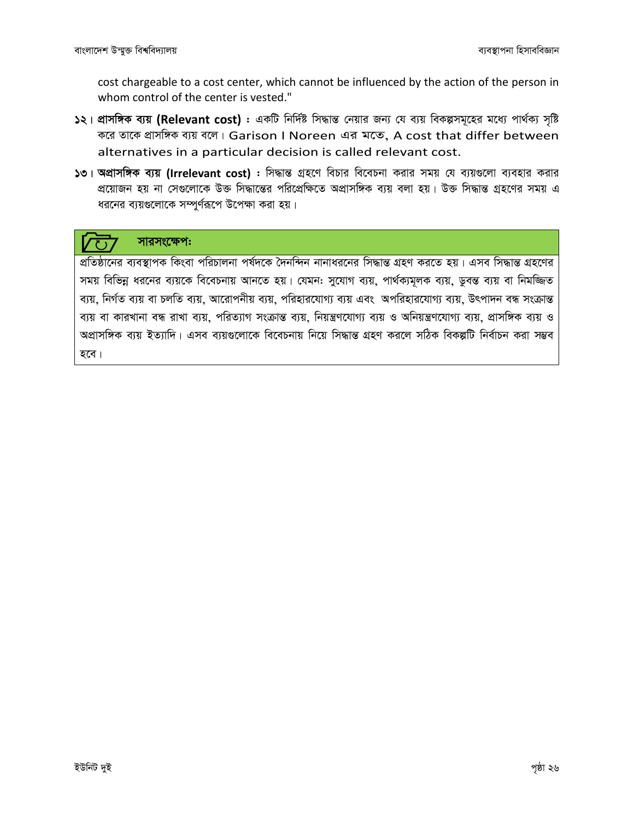cost chargeable to a cost center, which cannot be influenced by the action of the person in whom control of the center is vested."

- ১২। প্রাসঙ্গিক ব্যয় (Relevant cost) : একটি নির্দিষ্ট সিদ্ধান্ত নেয়ার জন্য যে ব্যয় বিকল্পসমূহের মধ্যে পার্থক্য সৃষ্টি করে তাকে প্রাসঙ্গিক ব্যয় বলে। Garison I Noreen এর মতে, A cost that differ between alternatives in a particular decision is called relevant cost.
- ১৩। অপ্রাসঙ্গিক ব্যয় (Irrelevant cost) : সিদ্ধান্ত গ্রহণে বিচার বিবেচনা করার সময় যে ব্যয়গুলো ব্যবহার করার প্রয়োজন হয় না সেগুলোকে উক্ত সিদ্ধান্তের পরিপ্রেক্ষিতে অপ্রাসঙ্গিক ব্যয় বলা হয়। উক্ত সিদ্ধান্ত গ্রহণের সময় এ ধরনের ব্যয়গুলোকে সম্পুর্ণরূপে উপেক্ষা করা হয়।

# সারসংক্ষেপ:

প্রতিষ্ঠানের ব্যবস্থাপক কিংবা পরিচালনা পর্ষদকে দৈনন্দিন নানাধরনের সিদ্ধান্ত গ্রহণ করতে হয়। এসব সিদ্ধান্ত গ্রহণের সময় বিভিন্ন ধরনের ব্যয়কে বিবেচনায় আনতে হয়। যেমন: সুযোগ ব্যয়, পার্থক্যমূলক ব্যয়, ডুবন্ত ব্যয় বা নিমজ্জিত ব্যয়, নির্গত ব্যয় বা চলতি ব্যয়, আরোপনীয় ব্যয়, পরিহারযোগ্য ব্যয় এবং অপরিহারযোগ্য ব্যয়, উৎপাদন বন্ধ সংক্রান্ত ব্যয় বা কারখানা বন্ধ রাখা ব্যয়, পরিত্যাগ সংক্রান্ত ব্যয়, নিয়ন্ত্রণযোগ্য ব্যয় ও অনিয়ন্ত্রণযোগ্য ব্যয়, প্রাসঙ্গিক ব্যয় ও অপ্রাসঙ্গিক ব্যয় ইত্যাদি। এসব ব্যয়গুলোকে বিবেচনায় নিয়ে সিদ্ধান্ত গ্রহণ করলে সঠিক বিকল্পটি নির্বাচন করা সম্ভব হবে।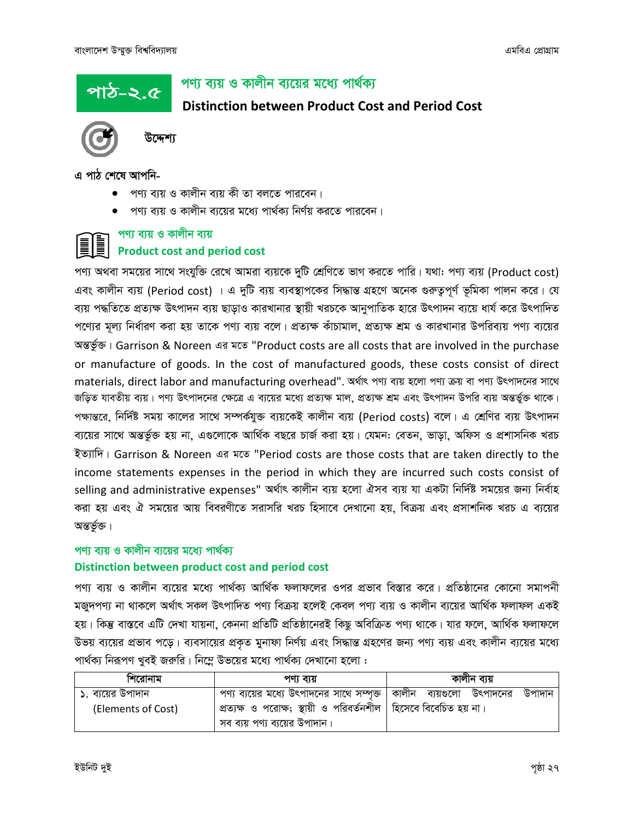# পাঠ–২.৫

# পণ্য ব্যয় ও কালীন ব্যয়ের মধ্যে পার্থক্য

## **Distinction between Product Cost and Period Cost**



উদ্দেশ্য

এ পাঠ শেষে আপনি-

- $\bullet$  পণ্য ব্যয় ও কালীন ব্যয় কী তা বলতে পারবেন।
- পণ্য ব্যয় ও কালীন ব্যয়ের মধ্যে পার্থক্য নির্ণয় করতে পারবেন।

### পণ্য ব্যয় ও কালীন ব্যয় **Product cost and period cost**

পণ্য অথবা সময়ের সাথে সংযুক্তি রেখে আমরা ব্যয়কে দুটি শ্রেণিতে ভাগ করতে পারি। যথা: পণ্য ব্যয় (Product cost) এবং কালীন ব্যয় (Period cost) । এ দুটি ব্যয় ব্যবস্থাপকের সিদ্ধান্ত গ্রহণে অনেক গুরুতুপূর্ণ ভূমিকা পালন করে। যে ব্যয় পদ্ধতিতে প্রত্যক্ষ উৎপাদন ব্যয় ছাড়াও কারখানার স্থায়ী খরচকে আনুপাতিক হারে উৎপাদন ব্যয়ে ধার্য করে উৎপাদিত পণ্যের মূল্য নির্ধারণ করা হয় তাকে পণ্য ব্যয় বলে। প্রত্যক্ষ কাঁচামাল, প্রত্যক্ষ শ্রম ও কারখানার উপরিব্যয় পণ্য ব্যয়ের অন্তৰ্ভুক্ত। Garrison & Noreen এর মতে "Product costs are all costs that are involved in the purchase or manufacture of goods. In the cost of manufactured goods, these costs consist of direct materials, direct labor and manufacturing overhead". অৰ্থাৎ পণ্য ব্যয় হলো পণ্য ক্ৰয় বা পণ্য উৎপাদনের সাথে জড়িত যাবতীয় ব্যয়। পণ্য উৎপাদনের ক্ষেত্রে এ ব্যয়ের মধ্যে প্রত্যক্ষ মাল, প্রত্যক্ষ শ্রম এবং উৎপাদন উপরি ব্যয় অন্তর্ভুক্ত থাকে। পক্ষান্তরে, নির্দিষ্ট সময় কালের সাথে সম্পর্কযুক্ত ব্যয়কেই কালীন ব্যয় (Period costs) বলে। এ শ্রেণির ব্যয় উৎপাদন ব্যয়ের সাথে অন্তর্ভুক্ত হয় না, এগুলোকে আর্থিক বছরে চার্জ করা হয়। যেমন: বেতন, ভাড়া, অফিস ও প্রশাসনিক খরচ ইত্যাদি। Garrison & Noreen এর মতে "Period costs are those costs that are taken directly to the income statements expenses in the period in which they are incurred such costs consist of selling and administrative expenses" অৰ্থাৎ কালীন ব্যয় হলো ঐসব ব্যয় যা একটা নিৰ্দিষ্ট সময়ের জন্য নিৰ্বাহ করা হয় এবং ঐ সময়ের আয় বিবরণীতে সরাসরি খরচ হিসাবে দেখানো হয়, বিক্রয় এবং প্রসাশনিক খরচ এ ব্যয়ের অন্তৰ্ভুক্ত।

#### পণ্য ব্যয় ও কালীন ব্যয়ের মধ্যে পার্থক্য Distinction between product cost and period cost

পণ্য ব্যয় ও কালীন ব্যয়ের মধ্যে পার্থক্য আর্থিক ফলাফলের ওপর প্রভাব বিস্তার করে। প্রতিষ্ঠানের কোনো সমাপনী মজ্রদপণ্য না থাকলে অর্থাৎ সকল উৎপাদিত পণ্য বিক্রয় হলেই কেবল পণ্য ব্যয় ও কালীন ব্যয়ের আর্থিক ফলাফল একই হয়। কিন্তু বাস্তবে এটি দেখা যায়না, কেননা প্রতিটি প্রতিষ্ঠানেরই কিছু অবিক্রিত পণ্য থাকে। যার ফলে, আর্থিক ফলাফলে উভয় ব্যয়ের প্রভাব পড়ে। ব্যবসায়ের প্রকৃত মুনাফা নির্ণয় এবং সিদ্ধান্ত গ্রহণের জন্য পণ্য ব্যয় এবং কালীন ব্যয়ের মধ্যে পার্থক্য নিরূপণ খুবই জরুরি। নিম্নে উভয়ের মধ্যে পার্থক্য দেখানো হলো :

| াশরোনাম            | পণ্য ব্যয়                                                               | কালীন ব্যয় |
|--------------------|--------------------------------------------------------------------------|-------------|
| ১. ব্যয়ের উপাদান  | পণ্য ব্যয়ের মধ্যে উৎপাদনের সাথে সম্পৃক্ত   কালীন   ব্যয়গুলো   উৎপাদনের | উপাদান      |
| (Elements of Cost) | প্রত্যক্ষ ও পরোক্ষ; স্থায়ী ও পরিবর্তনশীল   হিসেবে বিবেচিত হয় না।       |             |
|                    | সব ব্যয় পণ্য ব্যয়ের উপাদান।                                            |             |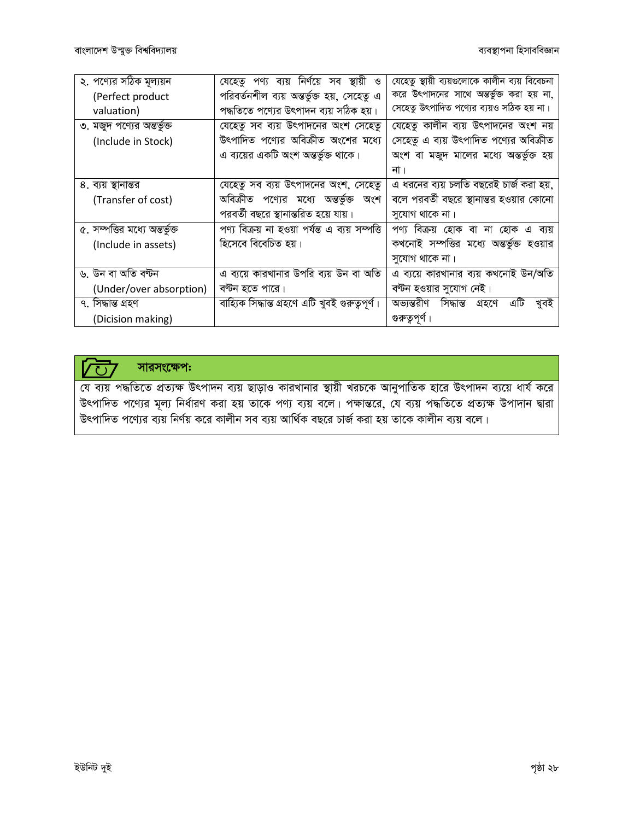| ২. পণ্যের সঠিক মূল্যয়ন        | যেহেতু পণ্য ব্যয় নির্ণয়ে সব স্থায়ী<br>ও     | যেহেতু স্থায়ী ব্যয়গুলোকে কালীন ব্যয় বিবেচনা |  |  |
|--------------------------------|------------------------------------------------|------------------------------------------------|--|--|
| (Perfect product               | পরিবর্তনশীল ব্যয় অন্তর্ভুক্ত হয়, সেহেতু এ    | করে উৎপাদনের সাথে অন্তর্ভুক্ত করা হয় না,      |  |  |
| valuation)                     | পদ্ধতিতে পণ্যের উৎপাদন ব্যয় সঠিক হয়।         | সেহেতু উৎপাদিত পণ্যের ব্যয়ও সঠিক হয় না।      |  |  |
| ৩. মজুদ পণ্যের অন্তর্ভুক্ত     | যেহেতু সব ব্যয় উৎপাদনের অংশ সেহেতু            | যেহেতু কালীন ব্যয় উৎপাদনের অংশ নয়            |  |  |
| (Include in Stock)             | উৎপাদিত পণ্যের অবিক্রীত অংশের মধ্যে            | সেহেতু এ ব্যয় উৎপাদিত পণ্যের অবিক্রীত         |  |  |
|                                | এ ব্যয়ের একটি অংশ অন্তর্ভুক্ত থাকে।           | অংশ বা মজুদ মালের মধ্যে অন্তর্ভুক্ত হয়        |  |  |
|                                |                                                | না ।                                           |  |  |
| ৪. ব্যয় স্থানান্তর            | যেহেতু সব ব্যয় উৎপাদনের অংশ, সেহেতু           | এ ধরনের ব্যয় চলতি বছরেই চার্জ করা হয়,        |  |  |
| (Transfer of cost)             | অবিক্রীত পণ্যের মধ্যে অন্তর্ভুক্ত অংশ          | বলে পরবর্তী বছরে স্থানান্তর হওয়ার কোনো        |  |  |
|                                | পরবর্তী বছরে স্থানান্তরিত হয়ে যায়।           | সুযোগ থাকে না।                                 |  |  |
| ৫. সম্পত্তির মধ্যে অন্তর্ভুক্ত | পণ্য বিক্রয় না হওয়া পর্যন্ত এ ব্যয় সম্পত্তি | পণ্য বিক্রয় হোক বা না হোক এ ব্যয়             |  |  |
| (Include in assets)            | হিসেবে বিবেচিত হয়।                            | কখনোই সম্পত্তির মধ্যে অন্তর্ভুক্ত হওয়ার       |  |  |
|                                |                                                | সুযোগ থাকে না।                                 |  |  |
| ৬. উন বা অতি বণ্টন             | এ ব্যয়ে কারখানার উপরি ব্যয় উন বা অতি         | এ ব্যয়ে কারখানার ব্যয় কখনোই উন/অতি           |  |  |
| (Under/over absorption)        | বণ্টন হতে পারে।                                | বন্টন হওয়ার সুযোগ নেই।                        |  |  |
| ৭. সিদ্ধান্ত গ্ৰহণ             | বাহ্যিক সিদ্ধান্ত গ্ৰহণে এটি খুবই গুরুতুপূর্ণ। | অভ্যন্তরীণ সিদ্ধান্ত গ্রহণে<br>এটি<br>খুবই     |  |  |
| (Dicision making)              |                                                | গুরুতুপূর্ণ।                                   |  |  |

#### সারসংক্ষেপ: **707**

যে ব্যয় পদ্ধতিতে প্রত্যক্ষ উৎপাদন ব্যয় ছাড়াও কারখানার স্থায়ী খরচকে আনুপাতিক হারে উৎপাদন ব্যয়ে ধার্য করে উৎপাদিত পণ্যের মূল্য নির্ধারণ করা হয় তাকে পণ্য ব্যয় বলে। পক্ষান্তরে, যে ব্যয় পদ্ধতিতে প্রত্যক্ষ উপাদান দ্বারা উৎপাদিত পণ্যের ব্যয় নির্ণয় করে কালীন সব ব্যয় আর্থিক বছরে চার্জ করা হয় তাকে কালীন ব্যয় বলে।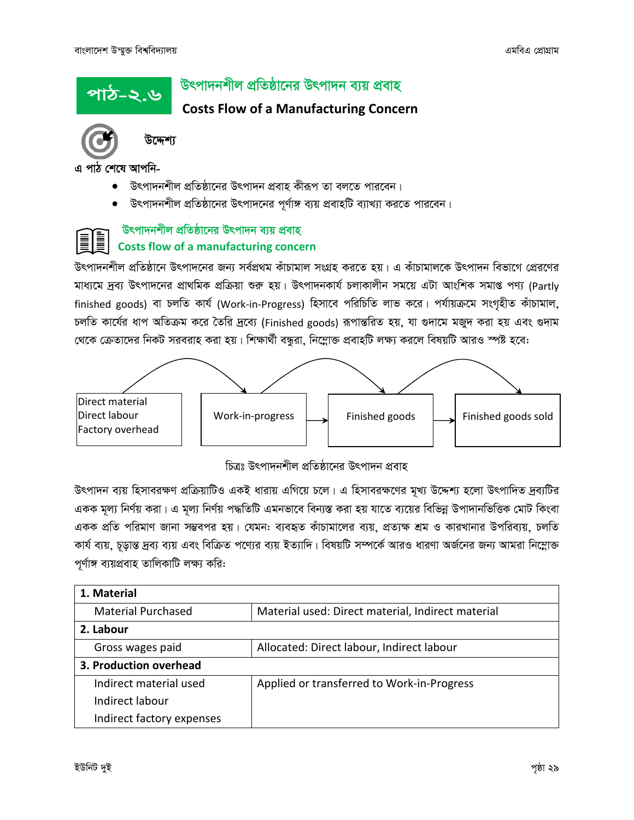পাঠ–২.৬

# উৎপাদনশীল প্রতিষ্ঠানের উৎপাদন ব্যয় প্রবাহ

# **Costs Flow of a Manufacturing Concern**



উদ্দেশ্য

এ পাঠ শেষে আপনি-

- উৎপাদনশীল প্রতিষ্ঠানের উৎপাদন প্রবাহ কীরূপ তা বলতে পারবেন।
- উৎপাদনশীল প্রতিষ্ঠানের উৎপাদনের পূর্ণাঙ্গ ব্যয় প্রবাহটি ব্যাখ্যা করতে পারবেন।

# উৎপাদনশীল প্রতিষ্ঠানের উৎপাদন ব্যয় প্রবাহ **Costs flow of a manufacturing concern**

উৎপাদনশীল প্রতিষ্ঠানে উৎপাদনের জন্য সর্বপ্রথম কাঁচামাল সংগ্রহ করতে হয়। এ কাঁচামালকে উৎপাদন বিভাগে প্রেরণের মাধ্যমে দ্রব্য উৎপাদনের প্রাথমিক প্রক্রিয়া শুরু হয়। উৎপাদনকার্য চলাকালীন সময়ে এটা আংশিক সমাপ্ত পণ্য (Partlv finished goods) বা চলতি কার্য (Work-in-Progress) হিসাবে পরিচিতি লাভ করে। পর্যায়ক্রমে সংগৃহীত কাঁচামাল, চলতি কার্যের ধাপ অতিক্রম করে তৈরি দ্রব্যে (Finished goods) রূপান্তরিত হয়, যা গুদামে মজুদ করা হয় এবং গুদাম থেকে ক্রেতাদের নিকট সরবরাহ করা হয়। শিক্ষার্থী বন্ধুরা, নিম্নোক্ত প্রবাহটি লক্ষ্য করলে বিষয়টি আরও স্পষ্ট হবে:



চিত্ৰঃ উৎপাদনশীল প্ৰতিষ্ঠানের উৎপাদন প্ৰবাহ

উৎপাদন ব্যয় হিসাবরক্ষণ প্রক্রিয়াটিও একই ধারায় এগিয়ে চলে। এ হিসাবরক্ষণের মুখ্য উদ্দেশ্য হলো উৎপাদিত দ্রব্যটির একক মূল্য নির্ণয় করা। এ মূল্য নির্ণয় পদ্ধতিটি এমনভাবে বিন্যস্ত করা হয় যাতে ব্যয়ের বিভিন্ন উপাদানভিত্তিক মোট কিংবা একক প্রতি পরিমাণ জানা সম্ভবপর হয়। যেমন: ব্যবহৃত কাঁচামালের ব্যয়, প্রত্যক্ষ শ্রম ও কারখানার উপরিব্যয়, চলতি কার্য ব্যয়, চূড়ান্ত দ্রব্য ব্যয় এবং বিক্রিত পণ্যের ব্যয় ইত্যাদি। বিষয়টি সম্পর্কে আরও ধারণা অর্জনের জন্য আমরা নিম্লোক্ত পূর্ণাঙ্গ ব্যয়প্রবাহ তালিকাটি লক্ষ্য করি:

| 1. Material                                                                    |                                            |  |
|--------------------------------------------------------------------------------|--------------------------------------------|--|
| <b>Material Purchased</b><br>Material used: Direct material, Indirect material |                                            |  |
| 2. Labour                                                                      |                                            |  |
| Gross wages paid                                                               | Allocated: Direct labour, Indirect labour  |  |
| 3. Production overhead                                                         |                                            |  |
| Indirect material used                                                         | Applied or transferred to Work-in-Progress |  |
| Indirect labour                                                                |                                            |  |
| Indirect factory expenses                                                      |                                            |  |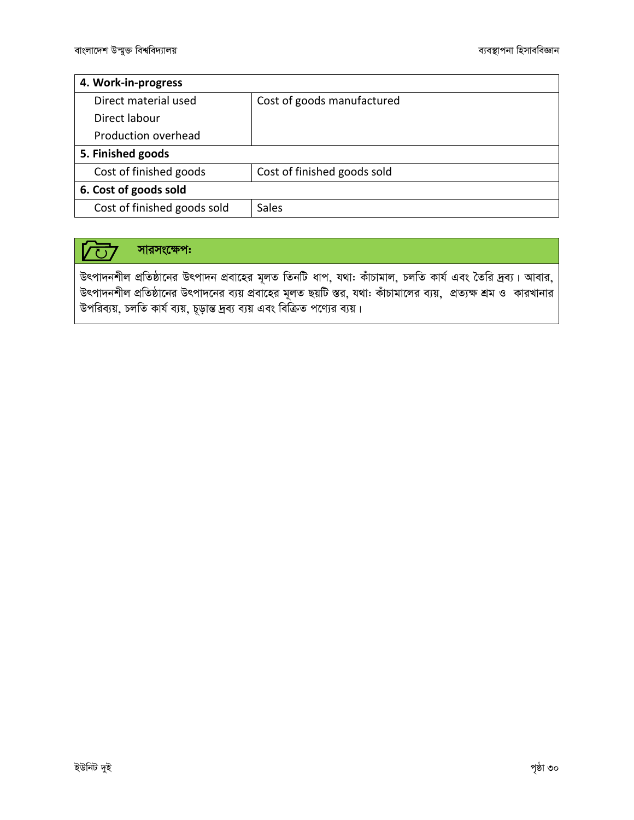| 4. Work-in-progress         |                             |
|-----------------------------|-----------------------------|
| Direct material used        | Cost of goods manufactured  |
| Direct labour               |                             |
| Production overhead         |                             |
| 5. Finished goods           |                             |
| Cost of finished goods      | Cost of finished goods sold |
| 6. Cost of goods sold       |                             |
| Cost of finished goods sold | Sales                       |



উৎপাদনশীল প্রতিষ্ঠানের উৎপাদন প্রবাহের মূলত তিনটি ধাপ, যথা: কাঁচামাল, চলতি কার্য এবং তৈরি দ্রব্য। আবার,<br>উৎপাদনশীল প্রতিষ্ঠানের উৎপাদনের ব্যয় প্রবাহের মূলত ছয়টি স্তর, যথা: কাঁচামালের ব্যয়, প্রত্যক্ষ শ্রম ও কারখানার<br>উ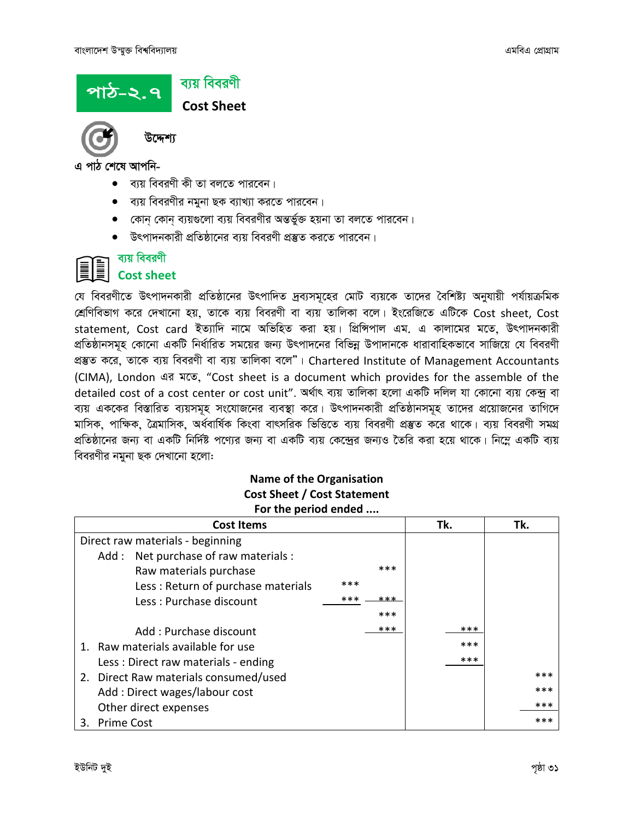

- $\bullet$  ব্যয় বিবরণী কী তা বলতে পারবেন।
- ব্যয় বিবরণীর নমুনা ছক ব্যাখ্যা করতে পারবেন।
- কোন কোন ব্যয়গুলো ব্যয় বিবরণীর অন্তর্ভুক্ত হয়না তা বলতে পারবেন।
- উৎপাদনকারী প্রতিষ্ঠানের বায় বিবরণী প্রস্তুত করতে পারবেন।

#### ব্যয় বিবরণী Cost sheet

যে বিবরণীতে উৎপাদনকারী প্রতিষ্ঠানের উৎপাদিত দ্রব্যসমূহের মোট ব্যয়কে তাদের বৈশিষ্ট্য অনুযায়ী পর্যায়ক্রমিক শ্রেণিবিভাগ করে দেখানো হয়, তাকে ব্যয় বিবরণী বা ব্যয় তালিকা বলে। ইংরেজিতে এটিকে Cost sheet, Cost statement, Cost card ইত্যাদি নামে অভিহিত করা হয়। প্রিন্সিপাল এম. এ কালামের মতে, উৎপাদনকারী প্রতিষ্ঠানসমূহ কোনো একটি নির্ধারিত সময়ের জন্য উৎপাদনের বিভিন্ন উপাদানকে ধারাবাহিকভাবে সাজিয়ে যে বিবরণী প্ৰস্তুত করে, তাকে ব্যয় বিবরণী বা ব্যয় তালিকা বলে"। Chartered Institute of Management Accountants (CIMA), London এর মতে, "Cost sheet is a document which provides for the assemble of the detailed cost of a cost center or cost unit". অৰ্থাৎ ব্যয় তালিকা হলো একটি দলিল যা কোনো ব্যয় কেন্দ্ৰ বা ব্যয় এককের বিস্তারিত ব্যয়সমূহ সংযোজনের ব্যবস্থা করে। উৎপাদনকারী প্রতিষ্ঠানসমূহ তাদের প্রয়োজনের তাগিদে মাসিক, পাক্ষিক, ত্রৈমাসিক, অর্ধবার্ষিক কিংবা বাৎসরিক ভিত্তিতে ব্যয় বিবরণী প্রস্তুত করে থাকে। ব্যয় বিবরণী সমগ প্রতিষ্ঠানের জন্য বা একটি নির্দিষ্ট পণ্যের জন্য বা একটি ব্যয় কেন্দ্রের জন্যও তৈরি করা হয়ে থাকে। নিম্লে একটি ব্যয় বিবরণীর নমুনা ছক দেখানো হলো:

#### Name of the Organisation Cost Sheet / Cost Statement For the period ended ....

|    | <b>Cost Items</b>                     |     |       | Tk. | Tk. |
|----|---------------------------------------|-----|-------|-----|-----|
|    | Direct raw materials - beginning      |     |       |     |     |
|    | Add: Net purchase of raw materials:   |     |       |     |     |
|    | Raw materials purchase                |     | ***   |     |     |
|    | Less : Return of purchase materials   | *** |       |     |     |
|    | Less: Purchase discount               | *** | $***$ |     |     |
|    |                                       |     | ***   |     |     |
|    | Add: Purchase discount                |     | ***   | *** |     |
|    | 1. Raw materials available for use    |     |       | *** |     |
|    | Less: Direct raw materials - ending   |     |       | *** |     |
|    | 2. Direct Raw materials consumed/used |     |       |     | *** |
|    | Add: Direct wages/labour cost         |     |       |     | *** |
|    | Other direct expenses                 |     |       |     | *** |
| 3. | <b>Prime Cost</b>                     |     |       |     | *** |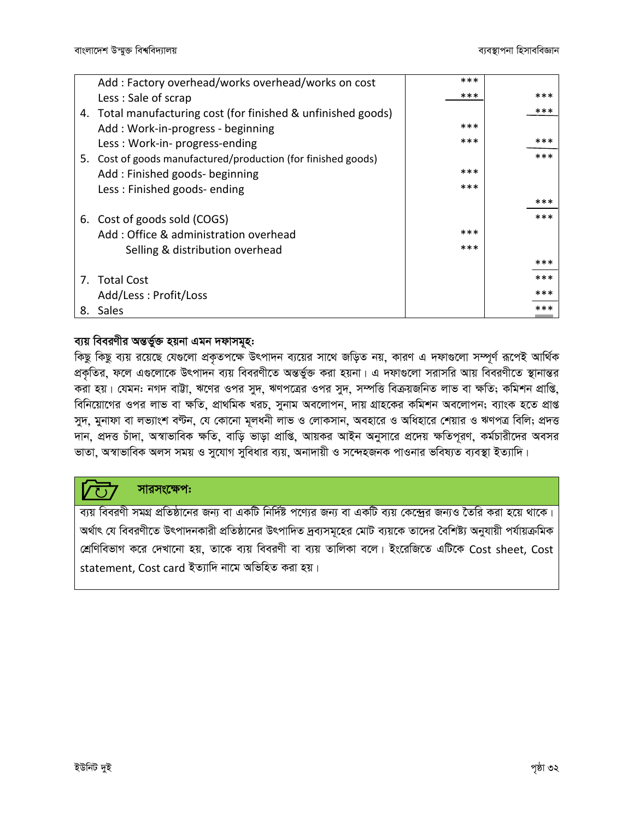| Add: Factory overhead/works overhead/works on cost            | *** |     |
|---------------------------------------------------------------|-----|-----|
| Less: Sale of scrap                                           | *** | *** |
| 4. Total manufacturing cost (for finished & unfinished goods) |     | *** |
| Add: Work-in-progress - beginning                             | *** |     |
| Less: Work-in-progress-ending                                 | *** | *** |
| 5. Cost of goods manufactured/production (for finished goods) |     | *** |
| Add: Finished goods- beginning                                | *** |     |
| Less: Finished goods-ending                                   | *** |     |
|                                                               |     | *** |
| 6. Cost of goods sold (COGS)                                  |     | *** |
| Add: Office & administration overhead                         | *** |     |
| Selling & distribution overhead                               | *** |     |
|                                                               |     | *** |
| 7. Total Cost                                                 |     | *** |
| Add/Less: Profit/Loss                                         |     | *** |
| 8. Sales                                                      |     | *** |

#### ব্যয় বিবরণীর অন্তর্ভুক্ত হয়না এমন দফাসমূহ:

কিছু কিছু ব্যয় রয়েছে যেগুলো প্রকৃতপক্ষে উৎপাদন ব্যয়ের সাথে জড়িত নয়, কারণ এ দফাগুলো সম্পূর্ণ রূপেই আর্থিক প্রকৃতির, ফলে এগুলোকে উৎপাদন ব্যয় বিবরণীতে অন্তর্ভুক্ত করা হয়না। এ দফাগুলো সরাসরি আয় বিবরণীতে স্থানান্তর করা হয়। যেমন: নগদ বাট্টা, ঋণের ওপর সুদ, ঋণপত্রের ওপর সুদ, সম্পত্তি বিক্রয়জনিত লাভ বা ক্ষতি; কমিশন প্রাপ্তি, বিনিয়োগের ওপর লাভ বা ক্ষতি, প্রাথমিক খরচ, সুনাম অবলোপন, দায় গ্রাহকের কমিশন অবলোপন; ব্যাংক হতে প্রাপ্ত সুদ, মুনাফা বা লভ্যাংশ বণ্টন, যে কোনো মূলধনী লাভ ও লোকসান, অবহারে ও অধিহারে শেয়ার ও ঋণপত্র বিলি; প্রদত্ত দান, প্রদত্ত চাঁদা, অস্বাভাবিক ক্ষতি, বাড়ি ভাড়া প্রাপ্তি, আয়কর আইন অনুসারে প্রদেয় ক্ষতিপূরণ, কর্মচারীদের অবসর ভাতা, অস্বাভাবিক অলস সময় ও সুযোগ সুবিধার ব্যয়, অনাদায়ী ও সন্দেহজনক পাওনার ভবিষ্যত ব্যবস্থা ইত্যাদি।

## সারসংক্ষেপ:

ব্যয় বিবরণী সমগ্র প্রতিষ্ঠানের জন্য বা একটি নির্দিষ্ট পণ্যের জন্য বা একটি ব্যয় কেন্দ্রের জন্যও তৈরি করা হয়ে থাকে। অর্থাৎ যে বিবরণীতে উৎপাদনকারী প্রতিষ্ঠানের উৎপাদিত দ্রব্যসমূহের মোট ব্যয়কে তাদের বৈশিষ্ট্য অনুযায়ী পর্যায়ক্রমিক শ্রেণিবিভাগ করে দেখানো হয়, তাকে ব্যয় বিবরণী বা ব্যয় তালিকা বলে। ইংরেজিতে এটিকে Cost sheet, Cost statement, Cost card ইত্যাদি নামে অভিহিত করা হয়।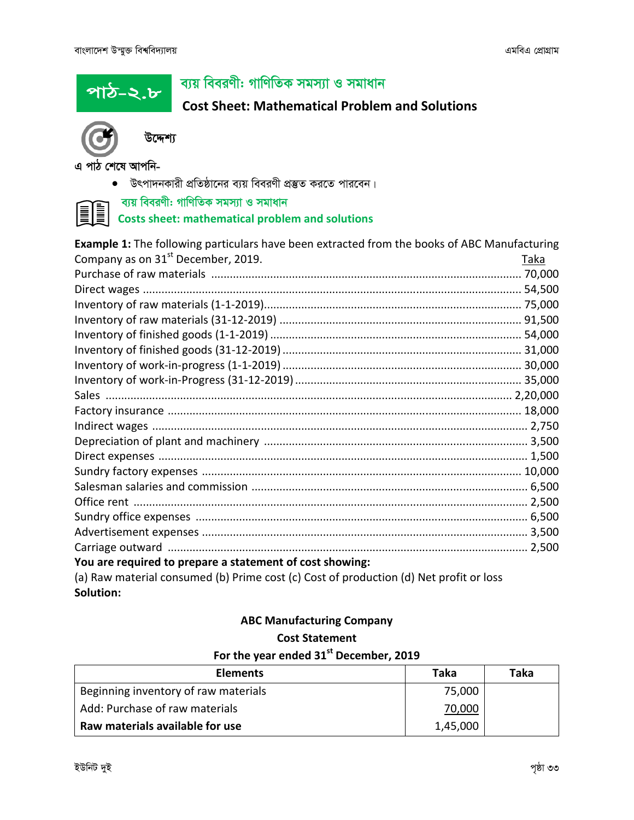পাঠ-২.৮

# ব্যয় বিবরণী: গাণিতিক সমস্যা ও সমাধান

# Cost Sheet: Mathematical Problem and Solutions



উদ্দেশ্য

এ পাঠ শেষে আপনি-

• উৎপাদনকারী প্রতিষ্ঠানের ব্যয় বিবরণী প্রস্তুত করতে পারবেন।

ব্যয় বিবরণী: গাণিতিক সমস্যা ও সমাধান

Costs sheet: mathematical problem and solutions

| Example 1: The following particulars have been extracted from the books of ABC Manufacturing |      |
|----------------------------------------------------------------------------------------------|------|
| Company as on 31 <sup>st</sup> December, 2019.                                               | Taka |
|                                                                                              |      |
|                                                                                              |      |
|                                                                                              |      |
|                                                                                              |      |
|                                                                                              |      |
|                                                                                              |      |
|                                                                                              |      |
|                                                                                              |      |
|                                                                                              |      |
|                                                                                              |      |
|                                                                                              |      |
|                                                                                              |      |
|                                                                                              |      |
|                                                                                              |      |
|                                                                                              |      |
|                                                                                              |      |
|                                                                                              |      |
|                                                                                              |      |
|                                                                                              |      |
| You are required to prepare a statement of cost showing:                                     |      |
| (a) Paw material consumed (b) Prime cest (c) Cest of production (d) Net profit or loss       |      |

(a) Raw material consumed (b) Prime cost (c) Cost of production (d) Net profit or loss Solution:

### ABC Manufacturing Company

#### Cost Statement

#### For the year ended 31<sup>st</sup> December, 2019

| <b>Elements</b>                      | Taka     | Taka |
|--------------------------------------|----------|------|
| Beginning inventory of raw materials | 75,000   |      |
| Add: Purchase of raw materials       | 70,000   |      |
| Raw materials available for use      | 1,45,000 |      |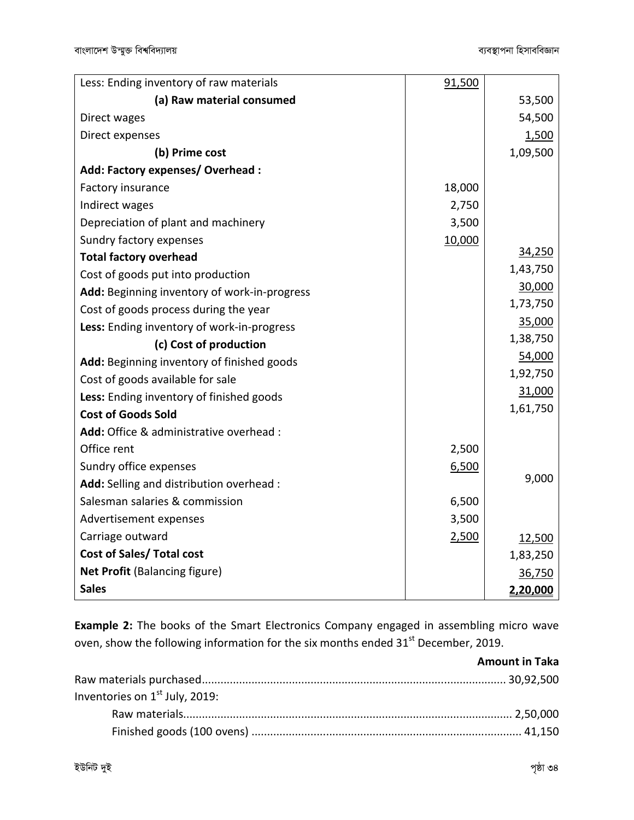| Less: Ending inventory of raw materials      | 91,500 |          |
|----------------------------------------------|--------|----------|
| (a) Raw material consumed                    |        | 53,500   |
| Direct wages                                 |        | 54,500   |
| Direct expenses                              |        | 1,500    |
| (b) Prime cost                               |        | 1,09,500 |
| Add: Factory expenses/ Overhead :            |        |          |
| Factory insurance                            | 18,000 |          |
| Indirect wages                               | 2,750  |          |
| Depreciation of plant and machinery          | 3,500  |          |
| Sundry factory expenses                      | 10,000 |          |
| <b>Total factory overhead</b>                |        | 34,250   |
| Cost of goods put into production            |        | 1,43,750 |
| Add: Beginning inventory of work-in-progress |        | 30,000   |
| Cost of goods process during the year        |        | 1,73,750 |
| Less: Ending inventory of work-in-progress   |        | 35,000   |
| (c) Cost of production                       |        | 1,38,750 |
| Add: Beginning inventory of finished goods   |        | 54,000   |
| Cost of goods available for sale             |        | 1,92,750 |
| Less: Ending inventory of finished goods     |        | 31,000   |
| <b>Cost of Goods Sold</b>                    |        | 1,61,750 |
| Add: Office & administrative overhead :      |        |          |
| Office rent                                  | 2,500  |          |
| Sundry office expenses                       | 6,500  |          |
| Add: Selling and distribution overhead :     |        | 9,000    |
| Salesman salaries & commission               | 6,500  |          |
| Advertisement expenses                       | 3,500  |          |
| Carriage outward                             | 2,500  | 12,500   |
| <b>Cost of Sales/ Total cost</b>             |        | 1,83,250 |
| Net Profit (Balancing figure)                |        | 36,750   |
| <b>Sales</b>                                 |        | 2,20,000 |

Example 2: The books of the Smart Electronics Company engaged in assembling micro wave oven, show the following information for the six months ended  $31<sup>st</sup>$  December, 2019.

|                                            | <b>Amount in Taka</b> |
|--------------------------------------------|-----------------------|
|                                            |                       |
| Inventories on 1 <sup>st</sup> July, 2019: |                       |
|                                            |                       |
|                                            |                       |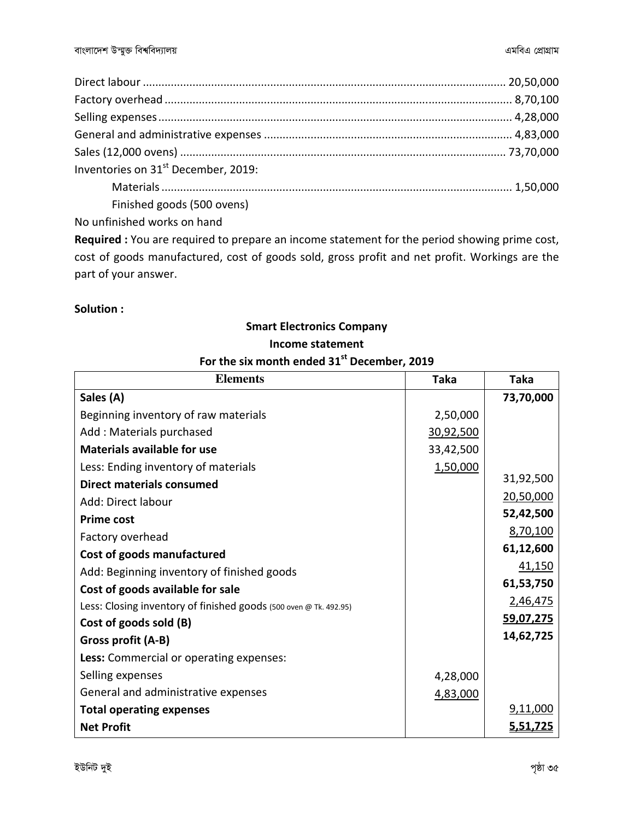| Inventories on 31 <sup>st</sup> December, 2019: |  |
|-------------------------------------------------|--|
|                                                 |  |

Finished goods (500 ovens)

No unfinished works on hand

Required : You are required to prepare an income statement for the period showing prime cost, cost of goods manufactured, cost of goods sold, gross profit and net profit. Workings are the part of your answer.

#### Solution :

# Smart Electronics Company

#### Income statement

# For the six month ended 31<sup>st</sup> December, 2019

| <b>Elements</b>                                                   | <b>Taka</b> | Taka            |
|-------------------------------------------------------------------|-------------|-----------------|
| Sales (A)                                                         |             | 73,70,000       |
| Beginning inventory of raw materials                              | 2,50,000    |                 |
| Add: Materials purchased                                          | 30,92,500   |                 |
| <b>Materials available for use</b>                                | 33,42,500   |                 |
| Less: Ending inventory of materials                               | 1,50,000    |                 |
| <b>Direct materials consumed</b>                                  |             | 31,92,500       |
| Add: Direct labour                                                |             | 20,50,000       |
| <b>Prime cost</b>                                                 |             | 52,42,500       |
| Factory overhead                                                  |             | 8,70,100        |
| Cost of goods manufactured                                        |             | 61,12,600       |
| Add: Beginning inventory of finished goods                        |             | 41,150          |
| Cost of goods available for sale                                  |             | 61,53,750       |
| Less: Closing inventory of finished goods (500 oven @ Tk. 492.95) |             | 2,46,475        |
| Cost of goods sold (B)                                            |             | 59,07,275       |
| Gross profit (A-B)                                                |             | 14,62,725       |
| Less: Commercial or operating expenses:                           |             |                 |
| Selling expenses                                                  | 4,28,000    |                 |
| General and administrative expenses                               | 4,83,000    |                 |
| <b>Total operating expenses</b>                                   |             | 9,11,000        |
| <b>Net Profit</b>                                                 |             | <u>5,51,725</u> |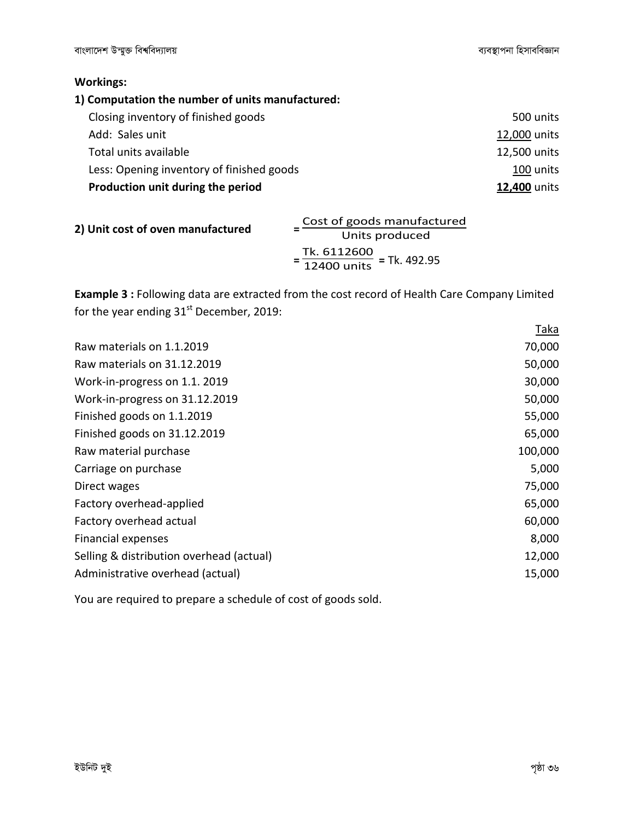### Workings:

### 1) Computation the number of units manufactured:

| Closing inventory of finished goods       | 500 units           |
|-------------------------------------------|---------------------|
| Add: Sales unit                           | 12,000 units        |
| Total units available                     | 12,500 units        |
| Less: Opening inventory of finished goods | 100 units           |
| Production unit during the period         | <b>12,400 units</b> |

| 2) Unit cost of oven manufactured | Cost of goods manufactured                      |  |
|-----------------------------------|-------------------------------------------------|--|
|                                   | Units produced                                  |  |
|                                   | $=\frac{Tk. 6112600}{12400}$ units = Tk. 492.95 |  |

Example 3 : Following data are extracted from the cost record of Health Care Company Limited for the year ending  $31<sup>st</sup>$  December, 2019:

|                                          | Taka    |
|------------------------------------------|---------|
| Raw materials on 1.1.2019                | 70,000  |
| Raw materials on 31.12.2019              | 50,000  |
| Work-in-progress on 1.1. 2019            | 30,000  |
| Work-in-progress on 31.12.2019           | 50,000  |
| Finished goods on 1.1.2019               | 55,000  |
| Finished goods on 31.12.2019             | 65,000  |
| Raw material purchase                    | 100,000 |
| Carriage on purchase                     | 5,000   |
| Direct wages                             | 75,000  |
| Factory overhead-applied                 | 65,000  |
| Factory overhead actual                  | 60,000  |
| <b>Financial expenses</b>                | 8,000   |
| Selling & distribution overhead (actual) | 12,000  |
| Administrative overhead (actual)         | 15,000  |

You are required to prepare a schedule of cost of goods sold.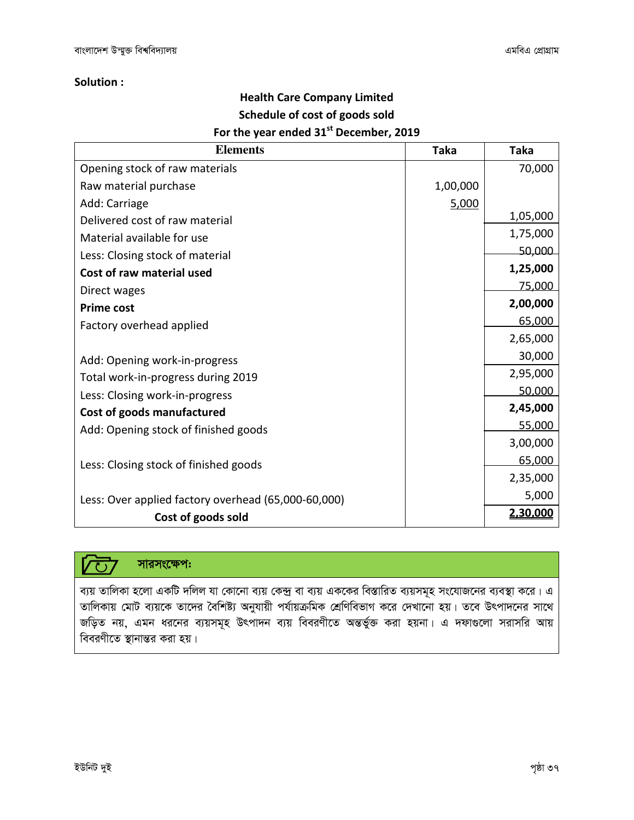#### Solution :

### Health Care Company Limited Schedule of cost of goods sold

#### For the year ended 31<sup>st</sup> December, 2019

| <b>Elements</b>                                     | <b>Taka</b> | <b>Taka</b> |
|-----------------------------------------------------|-------------|-------------|
| Opening stock of raw materials                      |             | 70,000      |
| Raw material purchase                               | 1,00,000    |             |
| Add: Carriage                                       | 5,000       |             |
| Delivered cost of raw material                      |             | 1,05,000    |
| Material available for use                          |             | 1,75,000    |
| Less: Closing stock of material                     |             | 50,000      |
| Cost of raw material used                           |             | 1,25,000    |
| Direct wages                                        |             | 75,000      |
| <b>Prime cost</b>                                   |             | 2,00,000    |
| Factory overhead applied                            |             | 65,000      |
|                                                     |             | 2,65,000    |
| Add: Opening work-in-progress                       |             | 30,000      |
| Total work-in-progress during 2019                  |             | 2,95,000    |
| Less: Closing work-in-progress                      |             | 50,000      |
| Cost of goods manufactured                          |             | 2,45,000    |
| Add: Opening stock of finished goods                |             | 55,000      |
|                                                     |             | 3,00,000    |
| Less: Closing stock of finished goods               |             | 65,000      |
|                                                     |             | 2,35,000    |
| Less: Over applied factory overhead (65,000-60,000) |             | 5,000       |
| Cost of goods sold                                  |             | 2,30,000    |

#### সারসংক্ষেপ: /U7

ব্যয় তালিকা হলো একটি দলিল যা কোনো ব্যয় কেন্দ্র বা ব্যয় এককের বিস্তারিত ব্যয়সমূহ সংযোজনের ব্যবস্থা করে। এ <u>তালিকায় মোট ব্যয়কে তাদের বৈশিষ্ট্য অনুযায়ী পর্যায়ক্রমিক শ্রেণিবিভাগ করে দেখানো হয়। তবে উৎপাদনের সাথে</u> জড়িত নয়, এমন ধরনের ব্যয়সমূহ উৎপাদন ব্যয় বিবরণীতে অন্তর্ভুক্ত করা হয়না। এ দফাগুলো সরাসরি আয় বিবরণীতে স্থানান্তর করা হয়।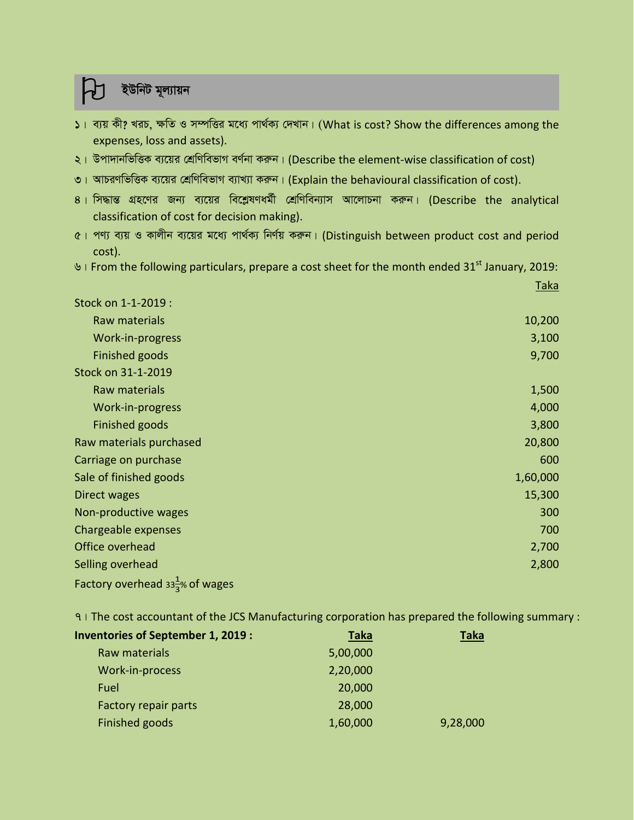# ইউনিট মূল্যায়ন

- $1$ া ব্যয় কী? খরচ, ক্ষতি ও সম্পত্তির মধ্যে পার্থক্য দেখান। (What is cost? Show the differences among the expenses, loss and assets).
- ২। উপাদানভিত্তিক ব্যয়ের শ্রেণিবিভাগ বর্ণনা করুন। (Describe the element-wise classification of cost)
- ৩। আচরণভিত্তিক ব্যয়ের শ্রেণিবিভাগ ব্যাখ্যা করুন। (Explain the behavioural classification of cost).
- 8। সিদ্ধান্ত গ্রহণের জন্য ব্যয়ের বিশ্লেষণধর্মী শ্রেণিবিন্যাস আলোচনা করুন। (Describe the analytical classification of cost for decision making).
- $6$ । পণ্য ব্যয় ও কালীন ব্যয়ের মধ্যে পার্থক্য নির্ণয় করুন। (Distinguish between product cost and period cost).

6| From the following particulars, prepare a cost sheet for the month ended 31st January, 2019:

Taka

| Stock on 1-1-2019 :                         |          |
|---------------------------------------------|----------|
| Raw materials                               | 10,200   |
| Work-in-progress                            | 3,100    |
| Finished goods                              | 9,700    |
| Stock on 31-1-2019                          |          |
| Raw materials                               | 1,500    |
| Work-in-progress                            | 4,000    |
| Finished goods                              | 3,800    |
| Raw materials purchased                     | 20,800   |
| Carriage on purchase                        | 600      |
| Sale of finished goods                      | 1,60,000 |
| Direct wages                                | 15,300   |
| Non-productive wages                        | 300      |
| Chargeable expenses                         | 700      |
| Office overhead                             | 2,700    |
| Selling overhead                            | 2,800    |
| Factory overhead $33\frac{1}{3}$ % of wages |          |

7| The cost accountant of the JCS Manufacturing corporation has prepared the following summary :

| <b>Taka</b> | Taka     |
|-------------|----------|
| 5,00,000    |          |
| 2,20,000    |          |
| 20,000      |          |
| 28,000      |          |
| 1,60,000    | 9,28,000 |
|             |          |